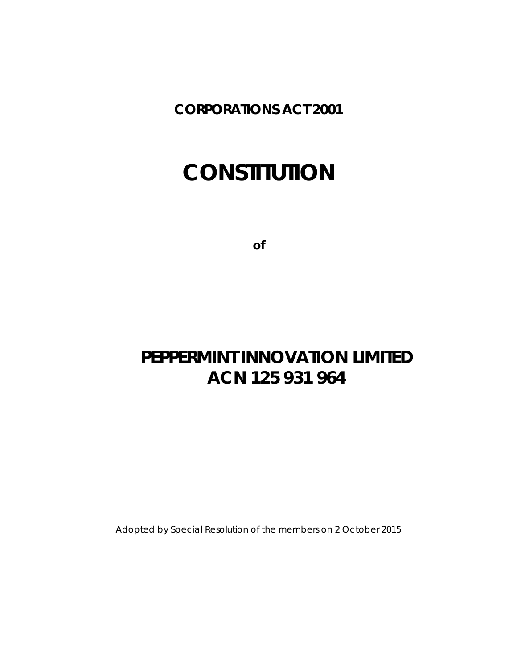**CORPORATIONS ACT 2001**

# **CONSTITUTION**

**of**

# **PEPPERMINT INNOVATION LIMITED ACN 125 931 964**

Adopted by Special Resolution of the members on 2 October 2015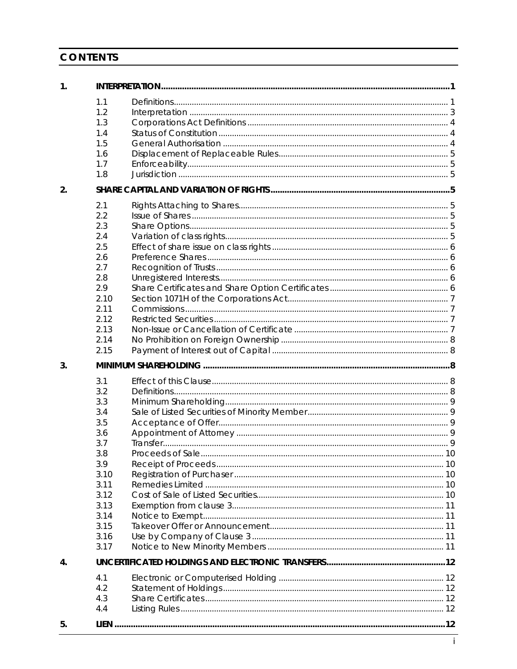# CONTENTS

| 1. |                                                                                                                             |  |
|----|-----------------------------------------------------------------------------------------------------------------------------|--|
|    | 1.1<br>1.2<br>1.3<br>1.4<br>1.5<br>1.6<br>1.7<br>1.8                                                                        |  |
| 2. |                                                                                                                             |  |
|    | 2.1<br>2.2<br>2.3<br>2.4<br>2.5<br>2.6<br>2.7<br>2.8<br>2.9<br>2.10<br>2.11<br>2.12<br>2.13<br>2.14<br>2.15                 |  |
| 3. |                                                                                                                             |  |
|    | 3.1<br>3.2<br>3.3<br>3.4<br>3.5<br>3.6<br>3.7<br>3.8<br>3.9<br>3.10<br>3.11<br>3.12<br>3.13<br>3.14<br>3.15<br>3.16<br>3.17 |  |
| 4. |                                                                                                                             |  |
|    | 4.1<br>4.2<br>4.3<br>4.4                                                                                                    |  |
| 5. |                                                                                                                             |  |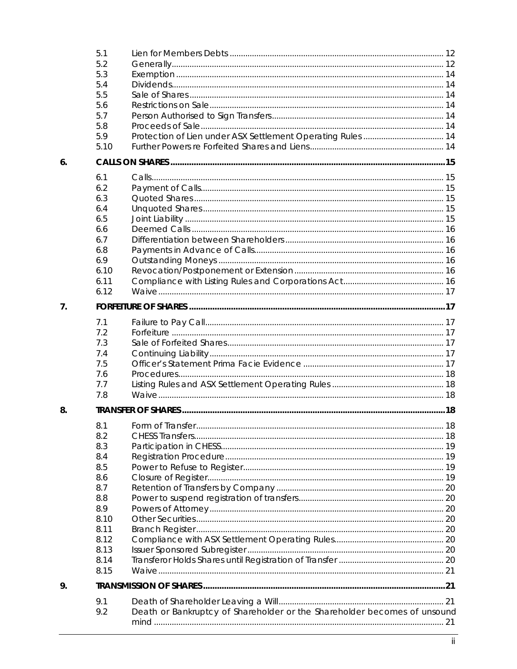|                | 5.1  |                                                                          |  |  |
|----------------|------|--------------------------------------------------------------------------|--|--|
|                | 5.2  |                                                                          |  |  |
|                | 5.3  |                                                                          |  |  |
|                | 5.4  |                                                                          |  |  |
|                | 5.5  |                                                                          |  |  |
|                | 5.6  |                                                                          |  |  |
|                | 5.7  |                                                                          |  |  |
|                | 5.8  |                                                                          |  |  |
|                | 5.9  | Protection of Lien under ASX Settlement Operating Rules  14              |  |  |
|                | 5.10 |                                                                          |  |  |
| 6 <sub>1</sub> |      |                                                                          |  |  |
|                | 6.1  |                                                                          |  |  |
|                | 6.2  |                                                                          |  |  |
|                | 6.3  |                                                                          |  |  |
|                | 6.4  |                                                                          |  |  |
|                | 6.5  |                                                                          |  |  |
|                | 6.6  |                                                                          |  |  |
|                | 6.7  |                                                                          |  |  |
|                | 6.8  |                                                                          |  |  |
|                | 6.9  |                                                                          |  |  |
|                | 6.10 |                                                                          |  |  |
|                | 6.11 |                                                                          |  |  |
|                | 6.12 |                                                                          |  |  |
| 7 <sub>1</sub> |      |                                                                          |  |  |
|                | 7.1  |                                                                          |  |  |
|                | 7.2  |                                                                          |  |  |
|                | 7.3  |                                                                          |  |  |
|                | 7.4  |                                                                          |  |  |
|                | 7.5  |                                                                          |  |  |
|                | 7.6  |                                                                          |  |  |
|                | 7.7  |                                                                          |  |  |
|                | 7.8  |                                                                          |  |  |
| 8.             |      |                                                                          |  |  |
|                | 8.1  |                                                                          |  |  |
|                | 8.2  |                                                                          |  |  |
|                | 8.3  |                                                                          |  |  |
|                | 8.4  |                                                                          |  |  |
|                | 8.5  |                                                                          |  |  |
|                | 8.6  |                                                                          |  |  |
|                | 8.7  |                                                                          |  |  |
|                | 8.8  |                                                                          |  |  |
|                | 8.9  |                                                                          |  |  |
|                | 8.10 |                                                                          |  |  |
|                | 8.11 |                                                                          |  |  |
|                | 8.12 |                                                                          |  |  |
|                | 8.13 |                                                                          |  |  |
|                | 8.14 |                                                                          |  |  |
|                | 8.15 |                                                                          |  |  |
| 9.             |      |                                                                          |  |  |
|                | 9.1  |                                                                          |  |  |
|                | 9.2  | Death or Bankruptcy of Shareholder or the Shareholder becomes of unsound |  |  |
|                |      |                                                                          |  |  |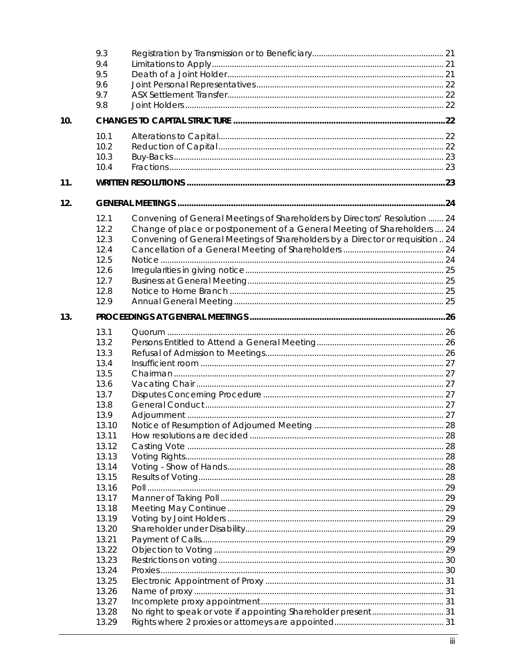|     | 9.3   |                                                                                |  |
|-----|-------|--------------------------------------------------------------------------------|--|
|     | 9.4   |                                                                                |  |
|     | 9.5   |                                                                                |  |
|     | 9.6   |                                                                                |  |
|     | 9.7   |                                                                                |  |
|     | 9.8   |                                                                                |  |
|     |       |                                                                                |  |
| 10. |       |                                                                                |  |
|     | 10.1  |                                                                                |  |
|     | 10.2  |                                                                                |  |
|     | 10.3  |                                                                                |  |
|     | 10.4  |                                                                                |  |
| 11. |       |                                                                                |  |
| 12. |       |                                                                                |  |
|     |       |                                                                                |  |
|     | 12.1  | Convening of General Meetings of Shareholders by Directors' Resolution  24     |  |
|     | 12.2  | Change of place or postponement of a General Meeting of Shareholders  24       |  |
|     | 12.3  | Convening of General Meetings of Shareholders by a Director or requisition  24 |  |
|     | 12.4  |                                                                                |  |
|     | 12.5  |                                                                                |  |
|     | 12.6  |                                                                                |  |
|     | 12.7  |                                                                                |  |
|     | 12.8  |                                                                                |  |
|     | 12.9  |                                                                                |  |
| 13. |       |                                                                                |  |
|     | 13.1  |                                                                                |  |
|     | 13.2  |                                                                                |  |
|     | 13.3  |                                                                                |  |
|     |       |                                                                                |  |
|     | 13.4  |                                                                                |  |
|     | 13.5  |                                                                                |  |
|     | 13.6  |                                                                                |  |
|     | 13.7  |                                                                                |  |
|     | 13.8  |                                                                                |  |
|     | 13.9  |                                                                                |  |
|     | 13.10 |                                                                                |  |
|     | 13.11 |                                                                                |  |
|     | 13.12 |                                                                                |  |
|     | 13.13 |                                                                                |  |
|     | 13.14 |                                                                                |  |
|     | 13.15 |                                                                                |  |
|     | 13.16 |                                                                                |  |
|     | 13.17 |                                                                                |  |
|     | 13.18 |                                                                                |  |
|     | 13.19 |                                                                                |  |
|     | 13.20 |                                                                                |  |
|     | 13.21 |                                                                                |  |
|     | 13.22 |                                                                                |  |
|     | 13.23 |                                                                                |  |
|     | 13.24 |                                                                                |  |
|     | 13.25 |                                                                                |  |
|     | 13.26 |                                                                                |  |
|     | 13.27 |                                                                                |  |
|     | 13.28 |                                                                                |  |
|     | 13.29 |                                                                                |  |
|     |       |                                                                                |  |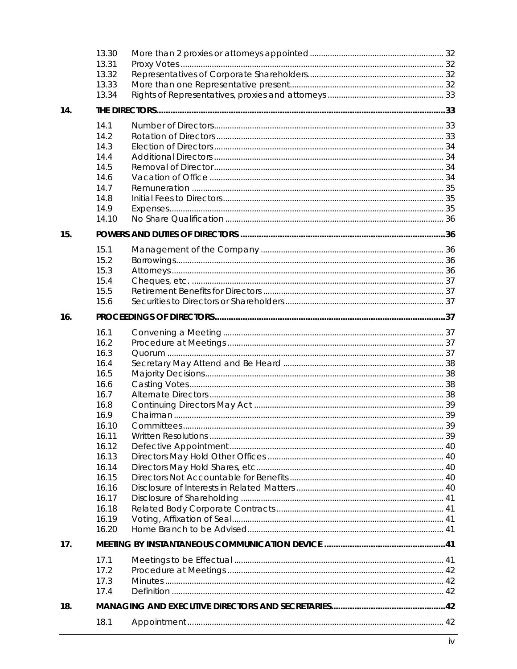|     | 13.30 |            |    |
|-----|-------|------------|----|
|     | 13.31 |            |    |
|     | 13.32 |            |    |
|     | 13.33 |            |    |
|     | 13.34 |            |    |
| 14. |       |            |    |
|     |       |            |    |
|     | 14.1  |            |    |
|     | 14.2  |            |    |
|     | 14.3  |            |    |
|     | 14.4  |            |    |
|     | 14.5  |            |    |
|     | 14.6  |            |    |
|     | 14.7  |            |    |
|     | 14.8  |            |    |
|     | 14.9  |            |    |
|     | 14.10 |            |    |
| 15. |       |            |    |
|     | 15.1  |            |    |
|     | 15.2  |            |    |
|     | 15.3  |            |    |
|     | 15.4  |            |    |
|     |       |            |    |
|     | 15.5  |            |    |
|     | 15.6  |            |    |
| 16. |       |            |    |
|     | 16.1  |            |    |
|     | 16.2  |            |    |
|     | 16.3  |            |    |
|     | 16.4  |            |    |
|     | 16.5  |            |    |
|     | 16.6  |            |    |
|     | 16.7  |            |    |
|     | 16.8  |            |    |
|     | 16.9  |            |    |
|     | 16.10 | Committees | 39 |
|     | 16.11 |            |    |
|     | 16.12 |            |    |
|     | 16.13 |            |    |
|     | 16.14 |            |    |
|     | 16.15 |            |    |
|     | 16.16 |            |    |
|     | 16.17 |            |    |
|     | 16.18 |            |    |
|     | 16.19 |            |    |
|     | 16.20 |            |    |
| 17. |       |            |    |
|     |       |            |    |
|     | 17.1  |            |    |
|     | 17.2  |            |    |
|     | 17.3  |            |    |
|     | 17.4  |            |    |
| 18. |       |            |    |
|     | 18.1  |            |    |
|     |       |            |    |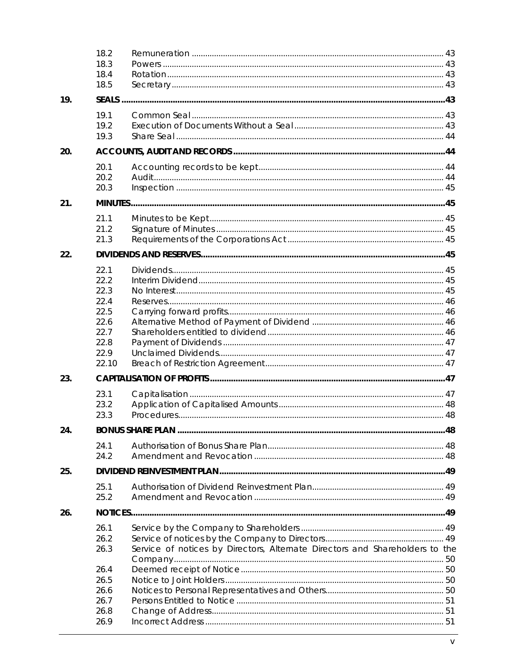|     | 18.2<br>18.3<br>18.4<br>18.5 |                                                                              |  |
|-----|------------------------------|------------------------------------------------------------------------------|--|
| 19. |                              |                                                                              |  |
|     | 19.1<br>19.2<br>19.3         |                                                                              |  |
| 20. |                              |                                                                              |  |
|     | 20.1<br>20.2<br>20.3         |                                                                              |  |
| 21. |                              |                                                                              |  |
|     | 21.1<br>21.2<br>21.3         |                                                                              |  |
| 22. |                              |                                                                              |  |
|     | 22.1<br>22.2<br>22.3         |                                                                              |  |
|     | 22.4<br>22.5<br>22.6<br>22.7 |                                                                              |  |
|     | 22.8<br>22.9<br>22.10        |                                                                              |  |
| 23. |                              |                                                                              |  |
|     | 23.1<br>23.2<br>23.3         |                                                                              |  |
| 24. |                              |                                                                              |  |
|     | 24.1<br>24.2                 |                                                                              |  |
| 25. |                              |                                                                              |  |
|     | 25.1<br>25.2                 |                                                                              |  |
| 26. |                              |                                                                              |  |
|     | 26.1<br>26.2<br>26.3         | Service of notices by Directors, Alternate Directors and Shareholders to the |  |
|     | 26.4<br>26.5<br>26.6<br>26.7 |                                                                              |  |
|     | 26.8<br>26.9                 |                                                                              |  |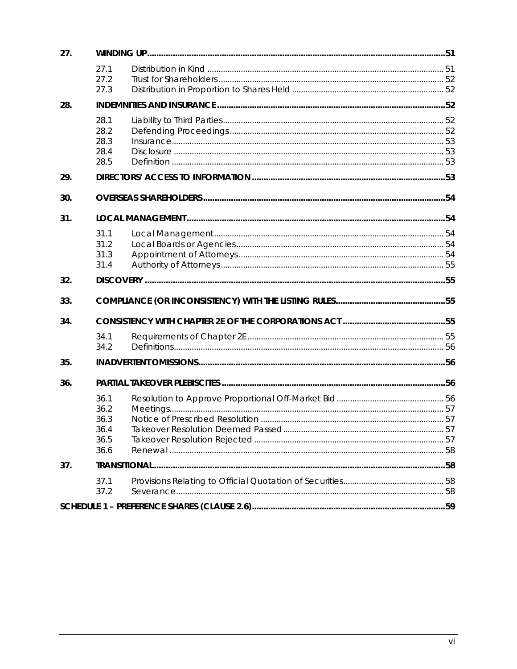| 27. |                                              |  |  |
|-----|----------------------------------------------|--|--|
|     | 27.1<br>27.2<br>27.3                         |  |  |
| 28. |                                              |  |  |
|     | 28.1<br>28.2<br>28.3<br>28.4<br>28.5         |  |  |
| 29. |                                              |  |  |
| 30. |                                              |  |  |
| 31. |                                              |  |  |
|     | 31.1<br>31.2<br>31.3<br>31.4                 |  |  |
| 32. |                                              |  |  |
| 33. |                                              |  |  |
| 34. |                                              |  |  |
|     | 34.1<br>34.2                                 |  |  |
| 35. |                                              |  |  |
| 36. |                                              |  |  |
|     | 36.1<br>36.2<br>36.3<br>36.4<br>36.5<br>36.6 |  |  |
| 37. | <b>TRANSITIONAL</b>                          |  |  |
|     | 37.1<br>37.2                                 |  |  |
|     |                                              |  |  |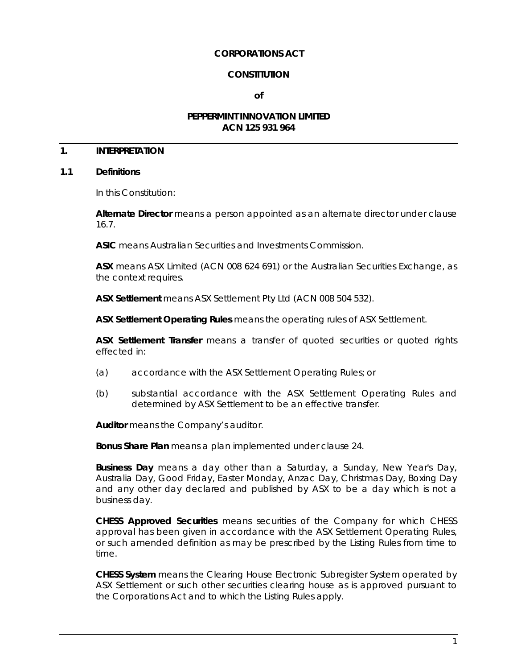## **CORPORATIONS ACT**

## **CONSTITUTION**

**of**

## **PEPPERMINT INNOVATION LIMITED ACN 125 931 964**

# **1. INTERPRETATION**

#### <span id="page-7-0"></span>**1.1 Definitions**

In this Constitution:

**Alternate Director** means a person appointed as an alternate director under clause [16.7.](#page-44-0)

**ASIC** means Australian Securities and Investments Commission.

**ASX** means ASX Limited (ACN 008 624 691) or the Australian Securities Exchange, as the context requires.

**ASX Settlement** means ASX Settlement Pty Ltd (ACN 008 504 532).

**ASX Settlement Operating Rules** means the operating rules of ASX Settlement.

**ASX Settlement Transfer** means a transfer of quoted securities or quoted rights effected in:

- (a) accordance with the ASX Settlement Operating Rules; or
- (b) substantial accordance with the ASX Settlement Operating Rules and determined by ASX Settlement to be an effective transfer.

**Auditor** means the Company's auditor.

**Bonus Share Plan** means a plan implemented under clause [24.](#page-54-0)

**Business Day** means a day other than a Saturday, a Sunday, New Year's Day, Australia Day, Good Friday, Easter Monday, Anzac Day, Christmas Day, Boxing Day and any other day declared and published by ASX to be a day which is not a business day.

**CHESS Approved Securities** means securities of the Company for which CHESS approval has been given in accordance with the ASX Settlement Operating Rules, or such amended definition as may be prescribed by the Listing Rules from time to time.

**CHESS System** means the Clearing House Electronic Subregister System operated by ASX Settlement or such other securities clearing house as is approved pursuant to the Corporations Act and to which the Listing Rules apply.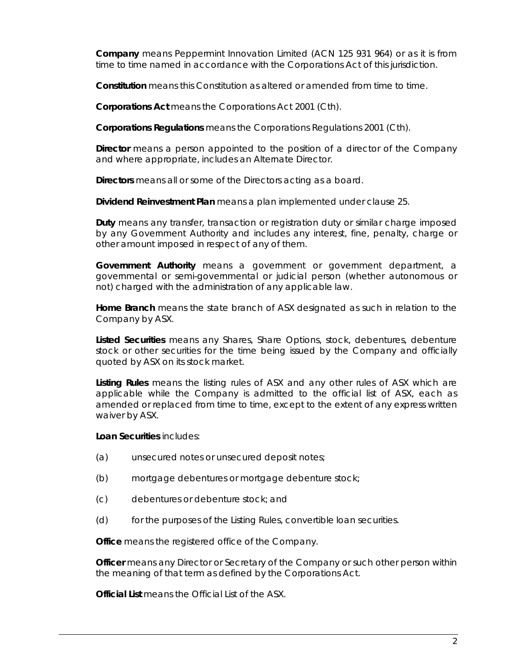**Company** means Peppermint Innovation Limited (ACN 125 931 964) or as it is from time to time named in accordance with the Corporations Act of this jurisdiction.

**Constitution** means this Constitution as altered or amended from time to time.

**Corporations Act** means the *Corporations Act 2001* (Cth).

**Corporations Regulations** means the *Corporations Regulations 2001* (Cth).

**Director** means a person appointed to the position of a director of the Company and where appropriate, includes an Alternate Director.

**Directors** means all or some of the Directors acting as a board.

**Dividend Reinvestment Plan** means a plan implemented under clause [25.](#page-55-0)

**Duty** means any transfer, transaction or registration duty or similar charge imposed by any Government Authority and includes any interest, fine, penalty, charge or other amount imposed in respect of any of them.

**Government Authority** means a government or government department, a governmental or semi-governmental or judicial person (whether autonomous or not) charged with the administration of any applicable law.

**Home Branch** means the state branch of ASX designated as such in relation to the Company by ASX.

**Listed Securities** means any Shares, Share Options, stock, debentures, debenture stock or other securities for the time being issued by the Company and officially quoted by ASX on its stock market.

**Listing Rules** means the listing rules of ASX and any other rules of ASX which are applicable while the Company is admitted to the official list of ASX, each as amended or replaced from time to time, except to the extent of any express written waiver by ASX.

**Loan Securities** includes:

- (a) unsecured notes or unsecured deposit notes;
- (b) mortgage debentures or mortgage debenture stock;
- (c) debentures or debenture stock; and
- (d) for the purposes of the Listing Rules, convertible loan securities.

**Office** means the registered office of the Company.

**Officer** means any Director or Secretary of the Company or such other person within the meaning of that term as defined by the Corporations Act.

**Official List** means the Official List of the ASX.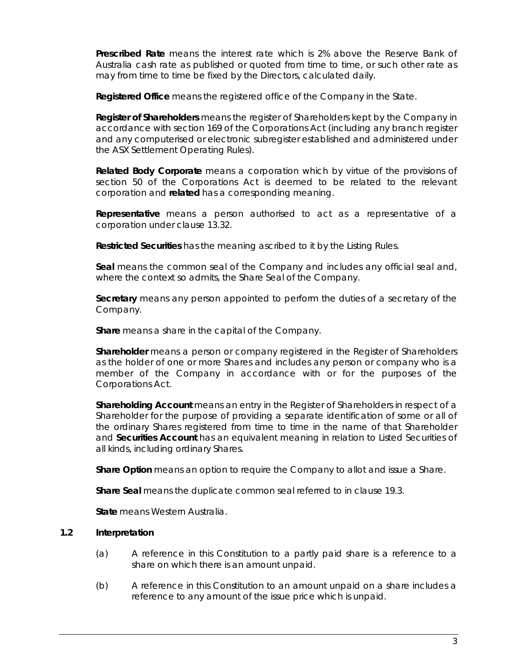**Prescribed Rate** means the interest rate which is 2% above the Reserve Bank of Australia cash rate as published or quoted from time to time, or such other rate as may from time to time be fixed by the Directors, calculated daily.

**Registered Office** means the registered office of the Company in the State.

**Register of Shareholders** means the register of Shareholders kept by the Company in accordance with section 169 of the Corporations Act (including any branch register and any computerised or electronic subregister established and administered under the ASX Settlement Operating Rules).

**Related Body Corporate** means a corporation which by virtue of the provisions of section 50 of the Corporations Act is deemed to be related to the relevant corporation and **related** has a corresponding meaning.

**Representative** means a person authorised to act as a representative of a corporation under clause [13.32.](#page-38-0)

**Restricted Securities** has the meaning ascribed to it by the Listing Rules.

**Seal** means the common seal of the Company and includes any official seal and, where the context so admits, the Share Seal of the Company.

**Secretary** means any person appointed to perform the duties of a secretary of the Company.

**Share** means a share in the capital of the Company.

**Shareholder** means a person or company registered in the Register of Shareholders as the holder of one or more Shares and includes any person or company who is a member of the Company in accordance with or for the purposes of the Corporations Act.

**Shareholding Account** means an entry in the Register of Shareholders in respect of a Shareholder for the purpose of providing a separate identification of some or all of the ordinary Shares registered from time to time in the name of that Shareholder and **Securities Account** has an equivalent meaning in relation to Listed Securities of all kinds, including ordinary Shares.

**Share Option** means an option to require the Company to allot and issue a Share.

**Share Seal** means the duplicate common seal referred to in clause [19.3.](#page-50-0)

**State** means Western Australia.

# **1.2 Interpretation**

- (a) A reference in this Constitution to a partly paid share is a reference to a share on which there is an amount unpaid.
- (b) A reference in this Constitution to an amount unpaid on a share includes a reference to any amount of the issue price which is unpaid.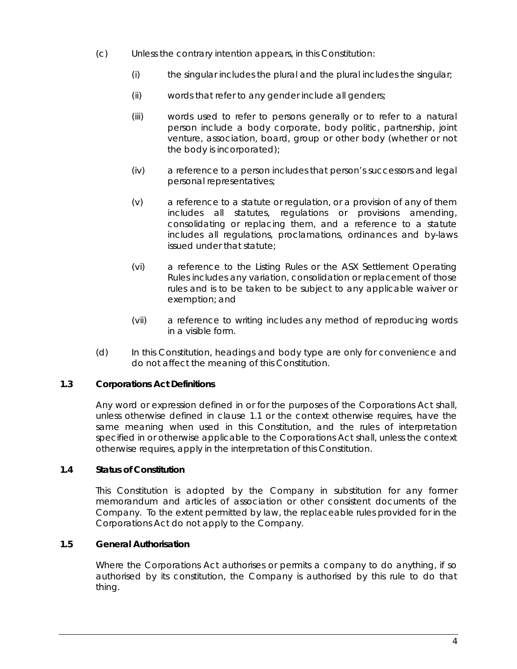- (c) Unless the contrary intention appears, in this Constitution:
	- (i) the singular includes the plural and the plural includes the singular;
	- (ii) words that refer to any gender include all genders;
	- (iii) words used to refer to persons generally or to refer to a natural person include a body corporate, body politic, partnership, joint venture, association, board, group or other body (whether or not the body is incorporated);
	- (iv) a reference to a person includes that person's successors and legal personal representatives;
	- (v) a reference to a statute or regulation, or a provision of any of them includes all statutes, regulations or provisions amending, consolidating or replacing them, and a reference to a statute includes all regulations, proclamations, ordinances and by-laws issued under that statute;
	- (vi) a reference to the Listing Rules or the ASX Settlement Operating Rules includes any variation, consolidation or replacement of those rules and is to be taken to be subject to any applicable waiver or exemption; and
	- (vii) a reference to writing includes any method of reproducing words in a visible form.
- (d) In this Constitution, headings and body type are only for convenience and do not affect the meaning of this Constitution.

# **1.3 Corporations Act Definitions**

Any word or expression defined in or for the purposes of the Corporations Act shall, unless otherwise defined in clause [1.1](#page-7-0) or the context otherwise requires, have the same meaning when used in this Constitution, and the rules of interpretation specified in or otherwise applicable to the Corporations Act shall, unless the context otherwise requires, apply in the interpretation of this Constitution.

# **1.4 Status of Constitution**

This Constitution is adopted by the Company in substitution for any former memorandum and articles of association or other consistent documents of the Company. To the extent permitted by law, the replaceable rules provided for in the Corporations Act do not apply to the Company.

# **1.5 General Authorisation**

Where the Corporations Act authorises or permits a company to do anything, if so authorised by its constitution, the Company is authorised by this rule to do that thing.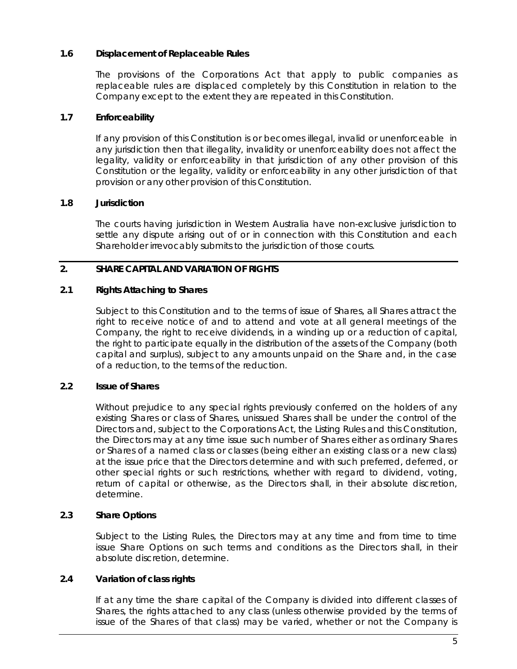# **1.6 Displacement of Replaceable Rules**

The provisions of the Corporations Act that apply to public companies as replaceable rules are displaced completely by this Constitution in relation to the Company except to the extent they are repeated in this Constitution.

# **1.7 Enforceability**

If any provision of this Constitution is or becomes illegal, invalid or unenforceable in any jurisdiction then that illegality, invalidity or unenforceability does not affect the legality, validity or enforceability in that jurisdiction of any other provision of this Constitution or the legality, validity or enforceability in any other jurisdiction of that provision or any other provision of this Constitution.

# **1.8 Jurisdiction**

The courts having jurisdiction in Western Australia have non-exclusive jurisdiction to settle any dispute arising out of or in connection with this Constitution and each Shareholder irrevocably submits to the jurisdiction of those courts.

# <span id="page-11-1"></span>**2. SHARE CAPITAL AND VARIATION OF RIGHTS**

# **2.1 Rights Attaching to Shares**

Subject to this Constitution and to the terms of issue of Shares, all Shares attract the right to receive notice of and to attend and vote at all general meetings of the Company, the right to receive dividends, in a winding up or a reduction of capital, the right to participate equally in the distribution of the assets of the Company (both capital and surplus), subject to any amounts unpaid on the Share and, in the case of a reduction, to the terms of the reduction.

# **2.2 Issue of Shares**

Without prejudice to any special rights previously conferred on the holders of any existing Shares or class of Shares, unissued Shares shall be under the control of the Directors and, subject to the Corporations Act, the Listing Rules and this Constitution, the Directors may at any time issue such number of Shares either as ordinary Shares or Shares of a named class or classes (being either an existing class or a new class) at the issue price that the Directors determine and with such preferred, deferred, or other special rights or such restrictions, whether with regard to dividend, voting, return of capital or otherwise, as the Directors shall, in their absolute discretion, determine.

# **2.3 Share Options**

Subject to the Listing Rules, the Directors may at any time and from time to time issue Share Options on such terms and conditions as the Directors shall, in their absolute discretion, determine.

# <span id="page-11-0"></span>**2.4 Variation of class rights**

If at any time the share capital of the Company is divided into different classes of Shares, the rights attached to any class (unless otherwise provided by the terms of issue of the Shares of that class) may be varied, whether or not the Company is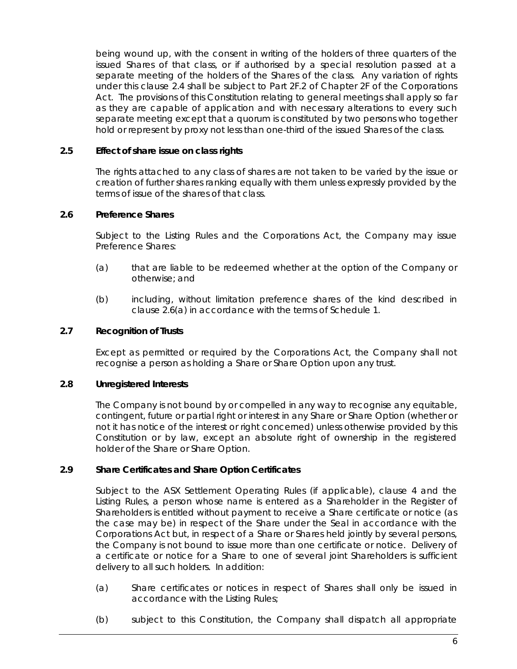being wound up, with the consent in writing of the holders of three quarters of the issued Shares of that class, or if authorised by a special resolution passed at a separate meeting of the holders of the Shares of the class. Any variation of rights under this clause [2.4](#page-11-0) shall be subject to Part 2F.2 of Chapter 2F of the Corporations Act. The provisions of this Constitution relating to general meetings shall apply so far as they are capable of application and with necessary alterations to every such separate meeting except that a quorum is constituted by two persons who together hold or represent by proxy not less than one-third of the issued Shares of the class.

## **2.5 Effect of share issue on class rights**

The rights attached to any class of shares are not taken to be varied by the issue or creation of further shares ranking equally with them unless expressly provided by the terms of issue of the shares of that class.

## <span id="page-12-2"></span>**2.6 Preference Shares**

Subject to the Listing Rules and the Corporations Act, the Company may issue Preference Shares:

- <span id="page-12-0"></span>(a) that are liable to be redeemed whether at the option of the Company or otherwise; and
- (b) including, without limitation preference shares of the kind described in clause [2.6\(a\)](#page-12-0) in accordance with the terms of [Schedule](#page-65-0) 1.

## **2.7 Recognition of Trusts**

Except as permitted or required by the Corporations Act, the Company shall not recognise a person as holding a Share or Share Option upon any trust.

#### **2.8 Unregistered Interests**

The Company is not bound by or compelled in any way to recognise any equitable, contingent, future or partial right or interest in any Share or Share Option (whether or not it has notice of the interest or right concerned) unless otherwise provided by this Constitution or by law, except an absolute right of ownership in the registered holder of the Share or Share Option.

# <span id="page-12-1"></span>**2.9 Share Certificates and Share Option Certificates**

Subject to the ASX Settlement Operating Rules (if applicable), clause [4](#page-18-0) and the Listing Rules, a person whose name is entered as a Shareholder in the Register of Shareholders is entitled without payment to receive a Share certificate or notice (as the case may be) in respect of the Share under the Seal in accordance with the Corporations Act but, in respect of a Share or Shares held jointly by several persons, the Company is not bound to issue more than one certificate or notice. Delivery of a certificate or notice for a Share to one of several joint Shareholders is sufficient delivery to all such holders. In addition:

- (a) Share certificates or notices in respect of Shares shall only be issued in accordance with the Listing Rules;
- (b) subject to this Constitution, the Company shall dispatch all appropriate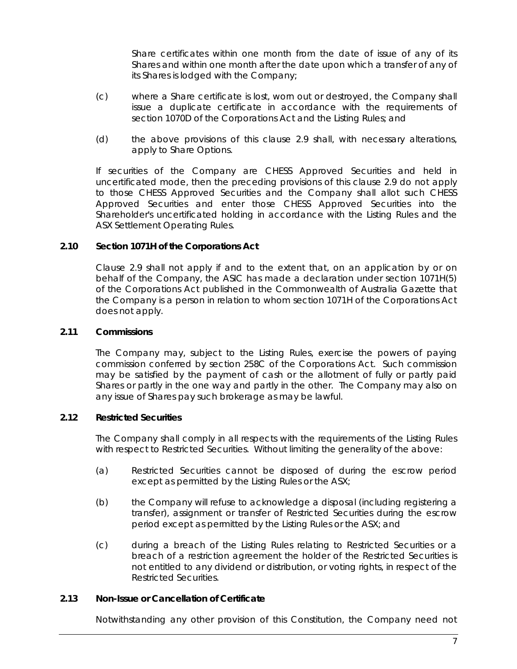Share certificates within one month from the date of issue of any of its Shares and within one month after the date upon which a transfer of any of its Shares is lodged with the Company;

- (c) where a Share certificate is lost, worn out or destroyed, the Company shall issue a duplicate certificate in accordance with the requirements of section 1070D of the Corporations Act and the Listing Rules; and
- (d) the above provisions of this clause [2.9](#page-12-1) shall, with necessary alterations, apply to Share Options.

If securities of the Company are CHESS Approved Securities and held in uncertificated mode, then the preceding provisions of this clause [2.9](#page-12-1) do not apply to those CHESS Approved Securities and the Company shall allot such CHESS Approved Securities and enter those CHESS Approved Securities into the Shareholder's uncertificated holding in accordance with the Listing Rules and the ASX Settlement Operating Rules.

## **2.10 Section 1071H of the Corporations Act**

Clause [2.9](#page-12-1) shall not apply if and to the extent that, on an application by or on behalf of the Company, the ASIC has made a declaration under section 1071H(5) of the Corporations Act published in the Commonwealth of Australia Gazette that the Company is a person in relation to whom section 1071H of the Corporations Act does not apply.

## **2.11 Commissions**

The Company may, subject to the Listing Rules, exercise the powers of paying commission conferred by section 258C of the Corporations Act. Such commission may be satisfied by the payment of cash or the allotment of fully or partly paid Shares or partly in the one way and partly in the other. The Company may also on any issue of Shares pay such brokerage as may be lawful.

## **2.12 Restricted Securities**

The Company shall comply in all respects with the requirements of the Listing Rules with respect to Restricted Securities. Without limiting the generality of the above:

- (a) Restricted Securities cannot be disposed of during the escrow period except as permitted by the Listing Rules or the ASX;
- (b) the Company will refuse to acknowledge a disposal (including registering a transfer), assignment or transfer of Restricted Securities during the escrow period except as permitted by the Listing Rules or the ASX; and
- (c) during a breach of the Listing Rules relating to Restricted Securities or a breach of a restriction agreement the holder of the Restricted Securities is not entitled to any dividend or distribution, or voting rights, in respect of the Restricted Securities.

#### **2.13 Non-Issue or Cancellation of Certificate**

Notwithstanding any other provision of this Constitution, the Company need not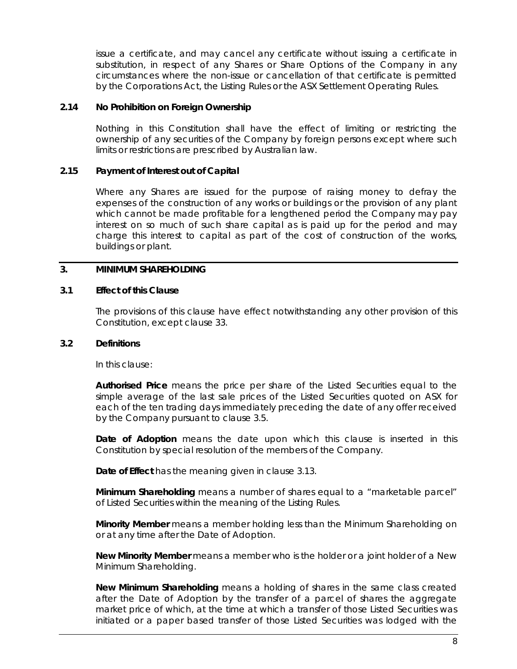issue a certificate, and may cancel any certificate without issuing a certificate in substitution, in respect of any Shares or Share Options of the Company in any circumstances where the non-issue or cancellation of that certificate is permitted by the Corporations Act, the Listing Rules or the ASX Settlement Operating Rules.

## **2.14 No Prohibition on Foreign Ownership**

Nothing in this Constitution shall have the effect of limiting or restricting the ownership of any securities of the Company by foreign persons except where such limits or restrictions are prescribed by Australian law.

## **2.15 Payment of Interest out of Capital**

Where any Shares are issued for the purpose of raising money to defray the expenses of the construction of any works or buildings or the provision of any plant which cannot be made profitable for a lengthened period the Company may pay interest on so much of such share capital as is paid up for the period and may charge this interest to capital as part of the cost of construction of the works, buildings or plant.

# <span id="page-14-0"></span>**3. MINIMUM SHAREHOLDING**

## **3.1 Effect of this Clause**

The provisions of this clause have effect notwithstanding any other provision of this Constitution, except clause [33.](#page-61-0)

#### **3.2 Definitions**

In this clause:

**Authorised Price** means the price per share of the Listed Securities equal to the simple average of the last sale prices of the Listed Securities quoted on ASX for each of the ten trading days immediately preceding the date of any offer received by the Company pursuant to clause [3.5.](#page-15-0)

**Date of Adoption** means the date upon which this clause is inserted in this Constitution by special resolution of the members of the Company.

**Date of Effect** has the meaning given in clause [3.13.](#page-17-0)

**Minimum Shareholding** means a number of shares equal to a "marketable parcel" of Listed Securities within the meaning of the Listing Rules.

**Minority Member** means a member holding less than the Minimum Shareholding on or at any time after the Date of Adoption.

**New Minority Member** means a member who is the holder or a joint holder of a New Minimum Shareholding.

**New Minimum Shareholding** means a holding of shares in the same class created after the Date of Adoption by the transfer of a parcel of shares the aggregate market price of which, at the time at which a transfer of those Listed Securities was initiated or a paper based transfer of those Listed Securities was lodged with the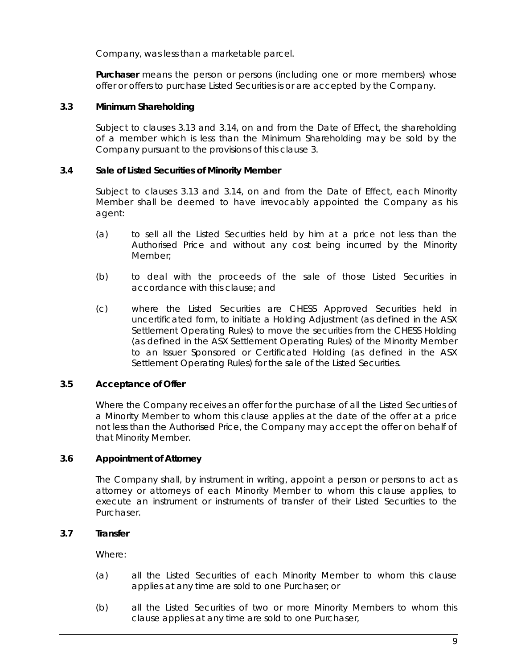Company, was less than a marketable parcel.

**Purchaser** means the person or persons (including one or more members) whose offer or offers to purchase Listed Securities is or are accepted by the Company.

# **3.3 Minimum Shareholding**

Subject to clauses [3.13](#page-17-0) and [3.14,](#page-17-1) on and from the Date of Effect, the shareholding of a member which is less than the Minimum Shareholding may be sold by the Company pursuant to the provisions of this clause [3.](#page-14-0)

## **3.4 Sale of Listed Securities of Minority Member**

Subject to clauses [3.13](#page-17-0) and [3.14,](#page-17-1) on and from the Date of Effect, each Minority Member shall be deemed to have irrevocably appointed the Company as his agent:

- (a) to sell all the Listed Securities held by him at a price not less than the Authorised Price and without any cost being incurred by the Minority Member;
- (b) to deal with the proceeds of the sale of those Listed Securities in accordance with this clause; and
- (c) where the Listed Securities are CHESS Approved Securities held in uncertificated form, to initiate a Holding Adjustment (as defined in the ASX Settlement Operating Rules) to move the securities from the CHESS Holding (as defined in the ASX Settlement Operating Rules) of the Minority Member to an Issuer Sponsored or Certificated Holding (as defined in the ASX Settlement Operating Rules) for the sale of the Listed Securities.

# <span id="page-15-0"></span>**3.5 Acceptance of Offer**

Where the Company receives an offer for the purchase of all the Listed Securities of a Minority Member to whom this clause applies at the date of the offer at a price not less than the Authorised Price, the Company may accept the offer on behalf of that Minority Member.

#### **3.6 Appointment of Attorney**

The Company shall, by instrument in writing, appoint a person or persons to act as attorney or attorneys of each Minority Member to whom this clause applies, to execute an instrument or instruments of transfer of their Listed Securities to the Purchaser.

#### **3.7 Transfer**

Where:

- (a) all the Listed Securities of each Minority Member to whom this clause applies at any time are sold to one Purchaser; or
- (b) all the Listed Securities of two or more Minority Members to whom this clause applies at any time are sold to one Purchaser,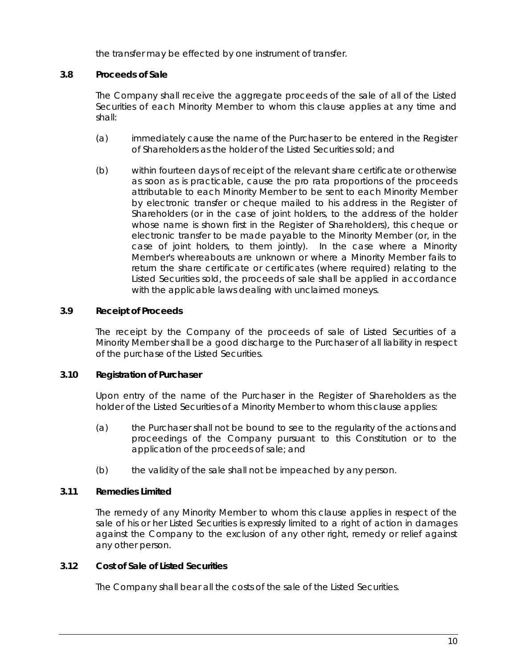the transfer may be effected by one instrument of transfer.

# <span id="page-16-0"></span>**3.8 Proceeds of Sale**

The Company shall receive the aggregate proceeds of the sale of all of the Listed Securities of each Minority Member to whom this clause applies at any time and shall:

- (a) immediately cause the name of the Purchaser to be entered in the Register of Shareholders as the holder of the Listed Securities sold; and
- (b) within fourteen days of receipt of the relevant share certificate or otherwise as soon as is practicable, cause the pro rata proportions of the proceeds attributable to each Minority Member to be sent to each Minority Member by electronic transfer or cheque mailed to his address in the Register of Shareholders (or in the case of joint holders, to the address of the holder whose name is shown first in the Register of Shareholders), this cheque or electronic transfer to be made payable to the Minority Member (or, in the case of joint holders, to them jointly). In the case where a Minority Member's whereabouts are unknown or where a Minority Member fails to return the share certificate or certificates (where required) relating to the Listed Securities sold, the proceeds of sale shall be applied in accordance with the applicable laws dealing with unclaimed moneys.

# **3.9 Receipt of Proceeds**

The receipt by the Company of the proceeds of sale of Listed Securities of a Minority Member shall be a good discharge to the Purchaser of all liability in respect of the purchase of the Listed Securities.

#### **3.10 Registration of Purchaser**

Upon entry of the name of the Purchaser in the Register of Shareholders as the holder of the Listed Securities of a Minority Member to whom this clause applies:

- (a) the Purchaser shall not be bound to see to the regularity of the actions and proceedings of the Company pursuant to this Constitution or to the application of the proceeds of sale; and
- (b) the validity of the sale shall not be impeached by any person.

# **3.11 Remedies Limited**

The remedy of any Minority Member to whom this clause applies in respect of the sale of his or her Listed Securities is expressly limited to a right of action in damages against the Company to the exclusion of any other right, remedy or relief against any other person.

# **3.12 Cost of Sale of Listed Securities**

The Company shall bear all the costs of the sale of the Listed Securities.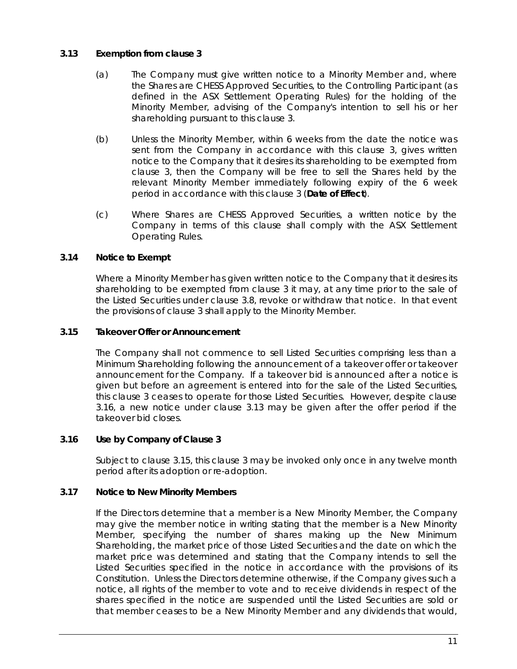# <span id="page-17-0"></span>**3.13 Exemption from clause [3](#page-14-0)**

- (a) The Company must give written notice to a Minority Member and, where the Shares are CHESS Approved Securities, to the Controlling Participant (as defined in the ASX Settlement Operating Rules) for the holding of the Minority Member, advising of the Company's intention to sell his or her shareholding pursuant to this clause [3.](#page-14-0)
- (b) Unless the Minority Member, within 6 weeks from the date the notice was sent from the Company in accordance with this clause [3,](#page-14-0) gives written notice to the Company that it desires its shareholding to be exempted from clause [3,](#page-14-0) then the Company will be free to sell the Shares held by the relevant Minority Member immediately following expiry of the 6 week period in accordance with this clause [3](#page-14-0) (**Date of Effect**).
- (c) Where Shares are CHESS Approved Securities, a written notice by the Company in terms of this clause shall comply with the ASX Settlement Operating Rules.

# <span id="page-17-1"></span>**3.14 Notice to Exempt**

Where a Minority Member has given written notice to the Company that it desires its shareholding to be exempted from clause [3](#page-14-0) it may, at any time prior to the sale of the Listed Securities under clause [3.8,](#page-16-0) revoke or withdraw that notice. In that event the provisions of clause [3](#page-14-0) shall apply to the Minority Member.

# <span id="page-17-3"></span>**3.15 Takeover Offer or Announcement**

The Company shall not commence to sell Listed Securities comprising less than a Minimum Shareholding following the announcement of a takeover offer or takeover announcement for the Company. If a takeover bid is announced after a notice is given but before an agreement is entered into for the sale of the Listed Securities, this clause [3](#page-14-0) ceases to operate for those Listed Securities. However, despite clause [3.16,](#page-17-2) a new notice under clause [3.13](#page-17-0) may be given after the offer period if the takeover bid closes.

# <span id="page-17-2"></span>**3.16 Use by Company of Clause [3](#page-14-0)**

Subject to clause [3.15,](#page-17-3) this clause [3](#page-14-0) may be invoked only once in any twelve month period after its adoption or re-adoption.

# <span id="page-17-4"></span>**3.17 Notice to New Minority Members**

If the Directors determine that a member is a New Minority Member, the Company may give the member notice in writing stating that the member is a New Minority Member, specifying the number of shares making up the New Minimum Shareholding, the market price of those Listed Securities and the date on which the market price was determined and stating that the Company intends to sell the Listed Securities specified in the notice in accordance with the provisions of its Constitution. Unless the Directors determine otherwise, if the Company gives such a notice, all rights of the member to vote and to receive dividends in respect of the shares specified in the notice are suspended until the Listed Securities are sold or that member ceases to be a New Minority Member and any dividends that would,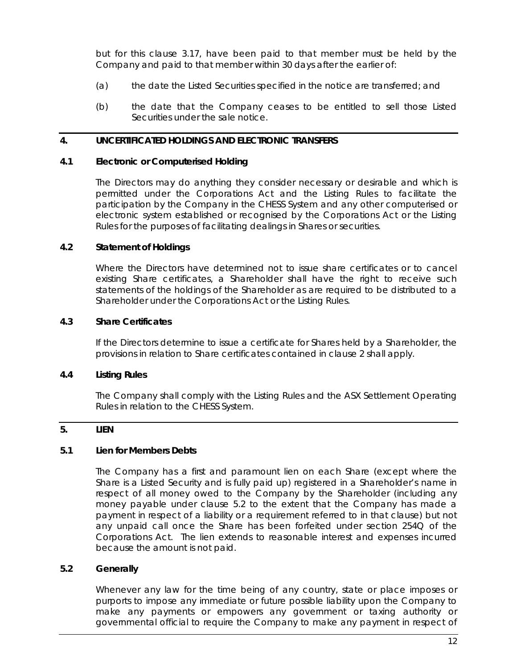but for this clause [3.17,](#page-17-4) have been paid to that member must be held by the Company and paid to that member within 30 days after the earlier of:

- (a) the date the Listed Securities specified in the notice are transferred; and
- (b) the date that the Company ceases to be entitled to sell those Listed Securities under the sale notice.

## <span id="page-18-0"></span>**4. UNCERTIFICATED HOLDINGS AND ELECTRONIC TRANSFERS**

## **4.1 Electronic or Computerised Holding**

The Directors may do anything they consider necessary or desirable and which is permitted under the Corporations Act and the Listing Rules to facilitate the participation by the Company in the CHESS System and any other computerised or electronic system established or recognised by the Corporations Act or the Listing Rules for the purposes of facilitating dealings in Shares or securities.

## **4.2 Statement of Holdings**

Where the Directors have determined not to issue share certificates or to cancel existing Share certificates, a Shareholder shall have the right to receive such statements of the holdings of the Shareholder as are required to be distributed to a Shareholder under the Corporations Act or the Listing Rules.

## **4.3 Share Certificates**

If the Directors determine to issue a certificate for Shares held by a Shareholder, the provisions in relation to Share certificates contained in clause [2](#page-11-1) shall apply.

# **4.4 Listing Rules**

The Company shall comply with the Listing Rules and the ASX Settlement Operating Rules in relation to the CHESS System.

# <span id="page-18-2"></span>**5. LIEN**

# **5.1 Lien for Members Debts**

The Company has a first and paramount lien on each Share (except where the Share is a Listed Security and is fully paid up) registered in a Shareholder's name in respect of all money owed to the Company by the Shareholder (including any money payable under clause [5.2](#page-18-1) to the extent that the Company has made a payment in respect of a liability or a requirement referred to in that clause) but not any unpaid call once the Share has been forfeited under section 254Q of the Corporations Act. The lien extends to reasonable interest and expenses incurred because the amount is not paid.

# <span id="page-18-1"></span>**5.2 Generally**

Whenever any law for the time being of any country, state or place imposes or purports to impose any immediate or future possible liability upon the Company to make any payments or empowers any government or taxing authority or governmental official to require the Company to make any payment in respect of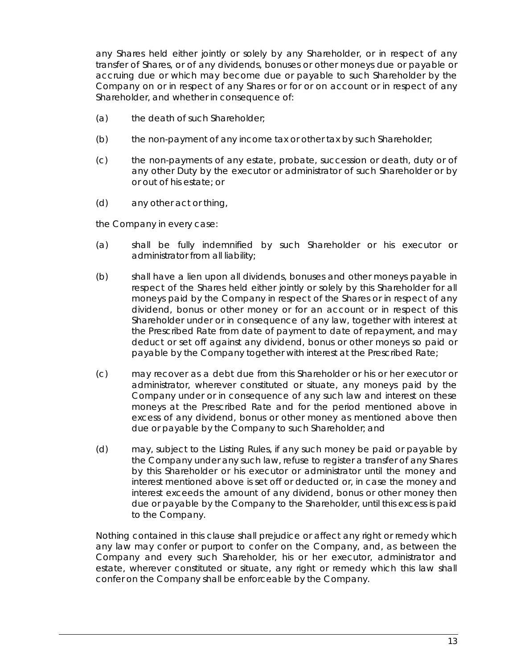any Shares held either jointly or solely by any Shareholder, or in respect of any transfer of Shares, or of any dividends, bonuses or other moneys due or payable or accruing due or which may become due or payable to such Shareholder by the Company on or in respect of any Shares or for or on account or in respect of any Shareholder, and whether in consequence of:

- (a) the death of such Shareholder;
- (b) the non-payment of any income tax or other tax by such Shareholder;
- (c) the non-payments of any estate, probate, succession or death, duty or of any other Duty by the executor or administrator of such Shareholder or by or out of his estate; or
- (d) any other act or thing,

the Company in every case:

- (a) shall be fully indemnified by such Shareholder or his executor or administrator from all liability;
- (b) shall have a lien upon all dividends, bonuses and other moneys payable in respect of the Shares held either jointly or solely by this Shareholder for all moneys paid by the Company in respect of the Shares or in respect of any dividend, bonus or other money or for an account or in respect of this Shareholder under or in consequence of any law, together with interest at the Prescribed Rate from date of payment to date of repayment, and may deduct or set off against any dividend, bonus or other moneys so paid or payable by the Company together with interest at the Prescribed Rate;
- (c) may recover as a debt due from this Shareholder or his or her executor or administrator, wherever constituted or situate, any moneys paid by the Company under or in consequence of any such law and interest on these moneys at the Prescribed Rate and for the period mentioned above in excess of any dividend, bonus or other money as mentioned above then due or payable by the Company to such Shareholder; and
- (d) may, subject to the Listing Rules, if any such money be paid or payable by the Company under any such law, refuse to register a transfer of any Shares by this Shareholder or his executor or administrator until the money and interest mentioned above is set off or deducted or, in case the money and interest exceeds the amount of any dividend, bonus or other money then due or payable by the Company to the Shareholder, until this excess is paid to the Company.

Nothing contained in this clause shall prejudice or affect any right or remedy which any law may confer or purport to confer on the Company, and, as between the Company and every such Shareholder, his or her executor, administrator and estate, wherever constituted or situate, any right or remedy which this law shall confer on the Company shall be enforceable by the Company.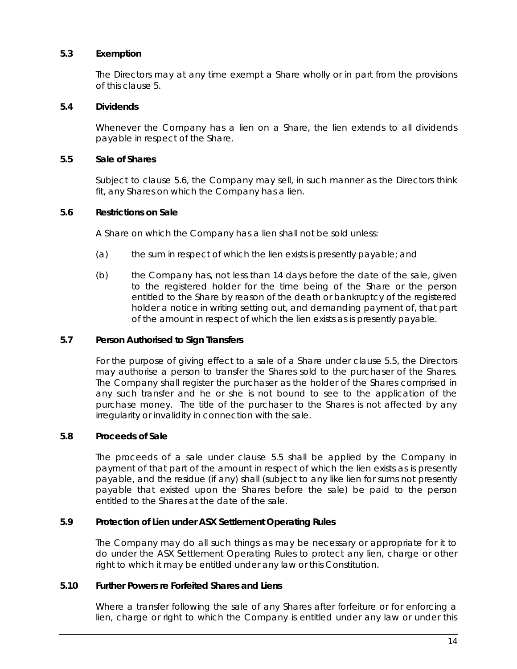## **5.3 Exemption**

The Directors may at any time exempt a Share wholly or in part from the provisions of this clause [5.](#page-18-2)

## **5.4 Dividends**

Whenever the Company has a lien on a Share, the lien extends to all dividends payable in respect of the Share.

## <span id="page-20-1"></span>**5.5 Sale of Shares**

Subject to clause [5.6,](#page-20-0) the Company may sell, in such manner as the Directors think fit, any Shares on which the Company has a lien.

## <span id="page-20-0"></span>**5.6 Restrictions on Sale**

A Share on which the Company has a lien shall not be sold unless:

- (a) the sum in respect of which the lien exists is presently payable; and
- (b) the Company has, not less than 14 days before the date of the sale, given to the registered holder for the time being of the Share or the person entitled to the Share by reason of the death or bankruptcy of the registered holder a notice in writing setting out, and demanding payment of, that part of the amount in respect of which the lien exists as is presently payable.

#### **5.7 Person Authorised to Sign Transfers**

For the purpose of giving effect to a sale of a Share under clause [5.5,](#page-20-1) the Directors may authorise a person to transfer the Shares sold to the purchaser of the Shares. The Company shall register the purchaser as the holder of the Shares comprised in any such transfer and he or she is not bound to see to the application of the purchase money. The title of the purchaser to the Shares is not affected by any irregularity or invalidity in connection with the sale.

# **5.8 Proceeds of Sale**

The proceeds of a sale under clause [5.5](#page-20-1) shall be applied by the Company in payment of that part of the amount in respect of which the lien exists as is presently payable, and the residue (if any) shall (subject to any like lien for sums not presently payable that existed upon the Shares before the sale) be paid to the person entitled to the Shares at the date of the sale.

## **5.9 Protection of Lien under ASX Settlement Operating Rules**

The Company may do all such things as may be necessary or appropriate for it to do under the ASX Settlement Operating Rules to protect any lien, charge or other right to which it may be entitled under any law or this Constitution.

## **5.10 Further Powers re Forfeited Shares and Liens**

Where a transfer following the sale of any Shares after forfeiture or for enforcing a lien, charge or right to which the Company is entitled under any law or under this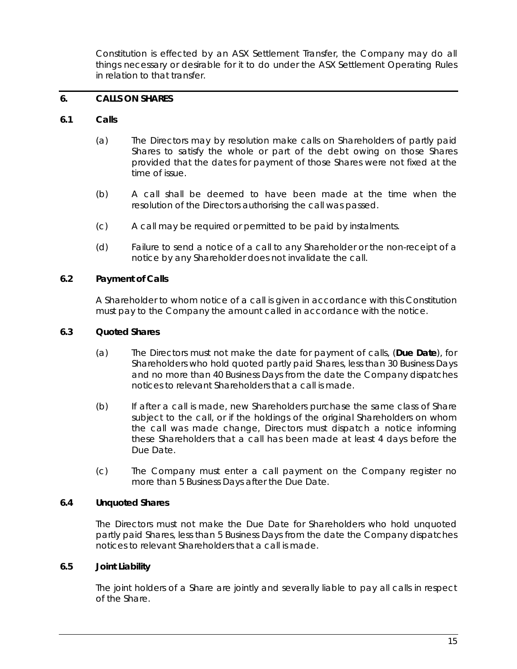Constitution is effected by an ASX Settlement Transfer, the Company may do all things necessary or desirable for it to do under the ASX Settlement Operating Rules in relation to that transfer.

## <span id="page-21-0"></span>**6. CALLS ON SHARES**

## **6.1 Calls**

- (a) The Directors may by resolution make calls on Shareholders of partly paid Shares to satisfy the whole or part of the debt owing on those Shares provided that the dates for payment of those Shares were not fixed at the time of issue.
- (b) A call shall be deemed to have been made at the time when the resolution of the Directors authorising the call was passed.
- (c) A call may be required or permitted to be paid by instalments.
- (d) Failure to send a notice of a call to any Shareholder or the non-receipt of a notice by any Shareholder does not invalidate the call.

## **6.2 Payment of Calls**

A Shareholder to whom notice of a call is given in accordance with this Constitution must pay to the Company the amount called in accordance with the notice.

## **6.3 Quoted Shares**

- (a) The Directors must not make the date for payment of calls, (**Due Date**), for Shareholders who hold quoted partly paid Shares, less than 30 Business Days and no more than 40 Business Days from the date the Company dispatches notices to relevant Shareholders that a call is made.
- (b) If after a call is made, new Shareholders purchase the same class of Share subject to the call, or if the holdings of the original Shareholders on whom the call was made change, Directors must dispatch a notice informing these Shareholders that a call has been made at least 4 days before the Due Date.
- (c) The Company must enter a call payment on the Company register no more than 5 Business Days after the Due Date.

## **6.4 Unquoted Shares**

The Directors must not make the Due Date for Shareholders who hold unquoted partly paid Shares, less than 5 Business Days from the date the Company dispatches notices to relevant Shareholders that a call is made.

#### **6.5 Joint Liability**

The joint holders of a Share are jointly and severally liable to pay all calls in respect of the Share.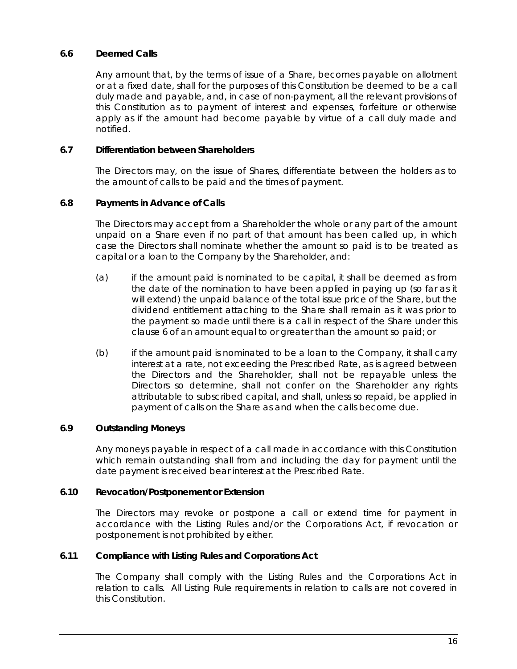# **6.6 Deemed Calls**

Any amount that, by the terms of issue of a Share, becomes payable on allotment or at a fixed date, shall for the purposes of this Constitution be deemed to be a call duly made and payable, and, in case of non-payment, all the relevant provisions of this Constitution as to payment of interest and expenses, forfeiture or otherwise apply as if the amount had become payable by virtue of a call duly made and notified.

## **6.7 Differentiation between Shareholders**

The Directors may, on the issue of Shares, differentiate between the holders as to the amount of calls to be paid and the times of payment.

# **6.8 Payments in Advance of Calls**

The Directors may accept from a Shareholder the whole or any part of the amount unpaid on a Share even if no part of that amount has been called up, in which case the Directors shall nominate whether the amount so paid is to be treated as capital or a loan to the Company by the Shareholder, and:

- (a) if the amount paid is nominated to be capital, it shall be deemed as from the date of the nomination to have been applied in paying up (so far as it will extend) the unpaid balance of the total issue price of the Share, but the dividend entitlement attaching to the Share shall remain as it was prior to the payment so made until there is a call in respect of the Share under this clause [6](#page-21-0) of an amount equal to or greater than the amount so paid; or
- (b) if the amount paid is nominated to be a loan to the Company, it shall carry interest at a rate, not exceeding the Prescribed Rate, as is agreed between the Directors and the Shareholder, shall not be repayable unless the Directors so determine, shall not confer on the Shareholder any rights attributable to subscribed capital, and shall, unless so repaid, be applied in payment of calls on the Share as and when the calls become due.

# **6.9 Outstanding Moneys**

Any moneys payable in respect of a call made in accordance with this Constitution which remain outstanding shall from and including the day for payment until the date payment is received bear interest at the Prescribed Rate.

#### **6.10 Revocation/Postponement or Extension**

The Directors may revoke or postpone a call or extend time for payment in accordance with the Listing Rules and/or the Corporations Act, if revocation or postponement is not prohibited by either.

# **6.11 Compliance with Listing Rules and Corporations Act**

The Company shall comply with the Listing Rules and the Corporations Act in relation to calls. All Listing Rule requirements in relation to calls are not covered in this Constitution.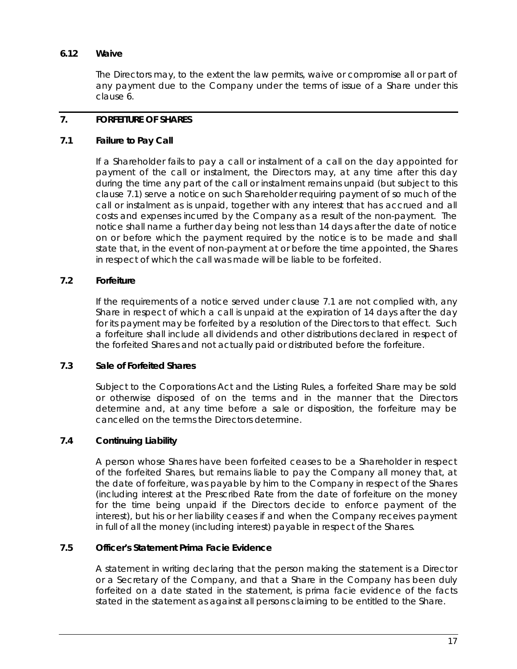# **6.12 Waive**

The Directors may, to the extent the law permits, waive or compromise all or part of any payment due to the Company under the terms of issue of a Share under this claus[e 6.](#page-21-0)

# <span id="page-23-1"></span>**7. FORFEITURE OF SHARES**

# <span id="page-23-0"></span>**7.1 Failure to Pay Call**

If a Shareholder fails to pay a call or instalment of a call on the day appointed for payment of the call or instalment, the Directors may, at any time after this day during the time any part of the call or instalment remains unpaid (but subject to this clause [7.1\)](#page-23-0) serve a notice on such Shareholder requiring payment of so much of the call or instalment as is unpaid, together with any interest that has accrued and all costs and expenses incurred by the Company as a result of the non-payment. The notice shall name a further day being not less than 14 days after the date of notice on or before which the payment required by the notice is to be made and shall state that, in the event of non-payment at or before the time appointed, the Shares in respect of which the call was made will be liable to be forfeited.

# **7.2 Forfeiture**

If the requirements of a notice served under clause [7.1](#page-23-0) are not complied with, any Share in respect of which a call is unpaid at the expiration of 14 days after the day for its payment may be forfeited by a resolution of the Directors to that effect. Such a forfeiture shall include all dividends and other distributions declared in respect of the forfeited Shares and not actually paid or distributed before the forfeiture.

# **7.3 Sale of Forfeited Shares**

Subject to the Corporations Act and the Listing Rules, a forfeited Share may be sold or otherwise disposed of on the terms and in the manner that the Directors determine and, at any time before a sale or disposition, the forfeiture may be cancelled on the terms the Directors determine.

# **7.4 Continuing Liability**

A person whose Shares have been forfeited ceases to be a Shareholder in respect of the forfeited Shares, but remains liable to pay the Company all money that, at the date of forfeiture, was payable by him to the Company in respect of the Shares (including interest at the Prescribed Rate from the date of forfeiture on the money for the time being unpaid if the Directors decide to enforce payment of the interest), but his or her liability ceases if and when the Company receives payment in full of all the money (including interest) payable in respect of the Shares.

# **7.5 Officer's Statement Prima Facie Evidence**

A statement in writing declaring that the person making the statement is a Director or a Secretary of the Company, and that a Share in the Company has been duly forfeited on a date stated in the statement, is prima facie evidence of the facts stated in the statement as against all persons claiming to be entitled to the Share.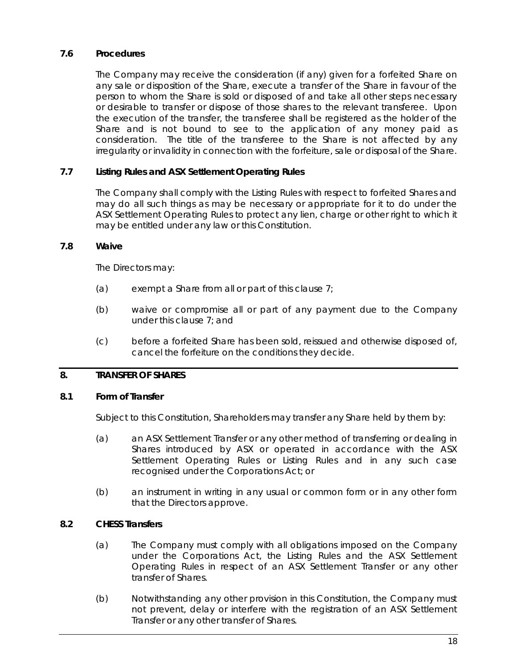# **7.6 Procedures**

The Company may receive the consideration (if any) given for a forfeited Share on any sale or disposition of the Share, execute a transfer of the Share in favour of the person to whom the Share is sold or disposed of and take all other steps necessary or desirable to transfer or dispose of those shares to the relevant transferee. Upon the execution of the transfer, the transferee shall be registered as the holder of the Share and is not bound to see to the application of any money paid as consideration. The title of the transferee to the Share is not affected by any irregularity or invalidity in connection with the forfeiture, sale or disposal of the Share.

# **7.7 Listing Rules and ASX Settlement Operating Rules**

The Company shall comply with the Listing Rules with respect to forfeited Shares and may do all such things as may be necessary or appropriate for it to do under the ASX Settlement Operating Rules to protect any lien, charge or other right to which it may be entitled under any law or this Constitution.

# **7.8 Waive**

The Directors may:

- (a) exempt a Share from all or part of this clause  $7<sub>i</sub>$
- (b) waive or compromise all or part of any payment due to the Company under this clause [7;](#page-23-1) and
- (c) before a forfeited Share has been sold, reissued and otherwise disposed of, cancel the forfeiture on the conditions they decide.

# <span id="page-24-1"></span>**8. TRANSFER OF SHARES**

# **8.1 Form of Transfer**

Subject to this Constitution, Shareholders may transfer any Share held by them by:

- (a) an ASX Settlement Transfer or any other method of transferring or dealing in Shares introduced by ASX or operated in accordance with the ASX Settlement Operating Rules or Listing Rules and in any such case recognised under the Corporations Act; or
- (b) an instrument in writing in any usual or common form or in any other form that the Directors approve.

# <span id="page-24-0"></span>**8.2 CHESS Transfers**

- (a) The Company must comply with all obligations imposed on the Company under the Corporations Act, the Listing Rules and the ASX Settlement Operating Rules in respect of an ASX Settlement Transfer or any other transfer of Shares.
- (b) Notwithstanding any other provision in this Constitution, the Company must not prevent, delay or interfere with the registration of an ASX Settlement Transfer or any other transfer of Shares.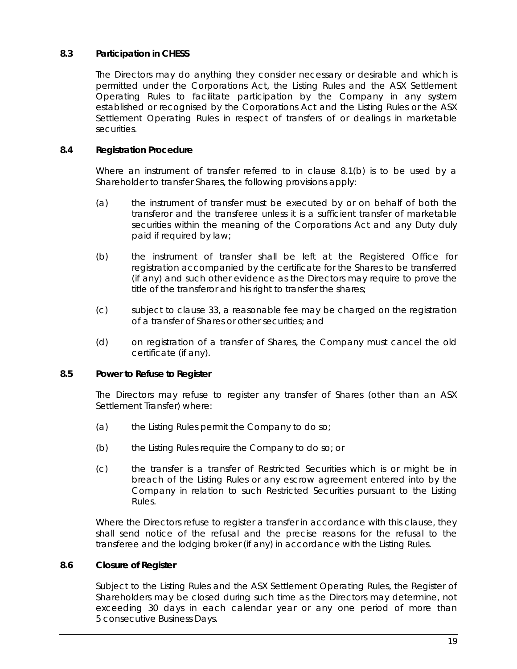# **8.3 Participation in CHESS**

The Directors may do anything they consider necessary or desirable and which is permitted under the Corporations Act, the Listing Rules and the ASX Settlement Operating Rules to facilitate participation by the Company in any system established or recognised by the Corporations Act and the Listing Rules or the ASX Settlement Operating Rules in respect of transfers of or dealings in marketable securities.

## **8.4 Registration Procedure**

Where an instrument of transfer referred to in clause [8.1\(b\)](#page-24-0) is to be used by a Shareholder to transfer Shares, the following provisions apply:

- (a) the instrument of transfer must be executed by or on behalf of both the transferor and the transferee unless it is a sufficient transfer of marketable securities within the meaning of the Corporations Act and any Duty duly paid if required by law;
- (b) the instrument of transfer shall be left at the Registered Office for registration accompanied by the certificate for the Shares to be transferred (if any) and such other evidence as the Directors may require to prove the title of the transferor and his right to transfer the shares;
- (c) subject to clause [33,](#page-61-0) a reasonable fee may be charged on the registration of a transfer of Shares or other securities; and
- (d) on registration of a transfer of Shares, the Company must cancel the old certificate (if any).

# **8.5 Power to Refuse to Register**

The Directors may refuse to register any transfer of Shares (other than an ASX Settlement Transfer) where:

- (a) the Listing Rules permit the Company to do so;
- (b) the Listing Rules require the Company to do so; or
- (c) the transfer is a transfer of Restricted Securities which is or might be in breach of the Listing Rules or any escrow agreement entered into by the Company in relation to such Restricted Securities pursuant to the Listing Rules.

Where the Directors refuse to register a transfer in accordance with this clause, they shall send notice of the refusal and the precise reasons for the refusal to the transferee and the lodging broker (if any) in accordance with the Listing Rules.

# **8.6 Closure of Register**

Subject to the Listing Rules and the ASX Settlement Operating Rules, the Register of Shareholders may be closed during such time as the Directors may determine, not exceeding 30 days in each calendar year or any one period of more than 5 consecutive Business Days.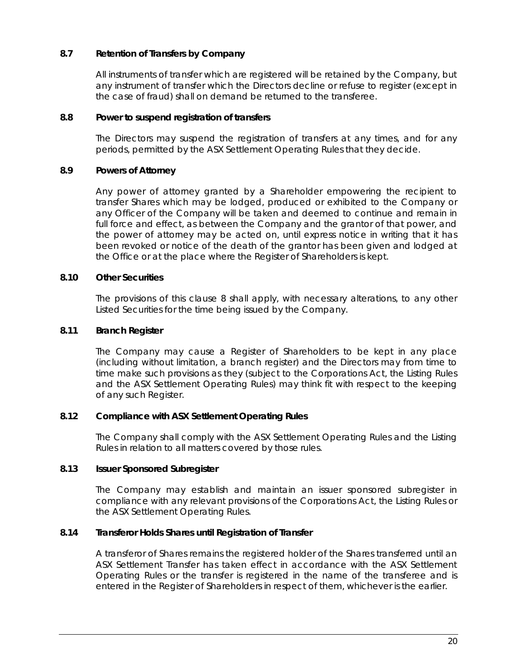# **8.7 Retention of Transfers by Company**

All instruments of transfer which are registered will be retained by the Company, but any instrument of transfer which the Directors decline or refuse to register (except in the case of fraud) shall on demand be returned to the transferee.

## **8.8 Power to suspend registration of transfers**

The Directors may suspend the registration of transfers at any times, and for any periods, permitted by the ASX Settlement Operating Rules that they decide.

# **8.9 Powers of Attorney**

Any power of attorney granted by a Shareholder empowering the recipient to transfer Shares which may be lodged, produced or exhibited to the Company or any Officer of the Company will be taken and deemed to continue and remain in full force and effect, as between the Company and the grantor of that power, and the power of attorney may be acted on, until express notice in writing that it has been revoked or notice of the death of the grantor has been given and lodged at the Office or at the place where the Register of Shareholders is kept.

# **8.10 Other Securities**

The provisions of this clause [8](#page-24-1) shall apply, with necessary alterations, to any other Listed Securities for the time being issued by the Company.

# **8.11 Branch Register**

The Company may cause a Register of Shareholders to be kept in any place (including without limitation, a branch register) and the Directors may from time to time make such provisions as they (subject to the Corporations Act, the Listing Rules and the ASX Settlement Operating Rules) may think fit with respect to the keeping of any such Register.

# **8.12 Compliance with ASX Settlement Operating Rules**

The Company shall comply with the ASX Settlement Operating Rules and the Listing Rules in relation to all matters covered by those rules.

# **8.13 Issuer Sponsored Subregister**

The Company may establish and maintain an issuer sponsored subregister in compliance with any relevant provisions of the Corporations Act, the Listing Rules or the ASX Settlement Operating Rules.

#### **8.14 Transferor Holds Shares until Registration of Transfer**

A transferor of Shares remains the registered holder of the Shares transferred until an ASX Settlement Transfer has taken effect in accordance with the ASX Settlement Operating Rules or the transfer is registered in the name of the transferee and is entered in the Register of Shareholders in respect of them, whichever is the earlier.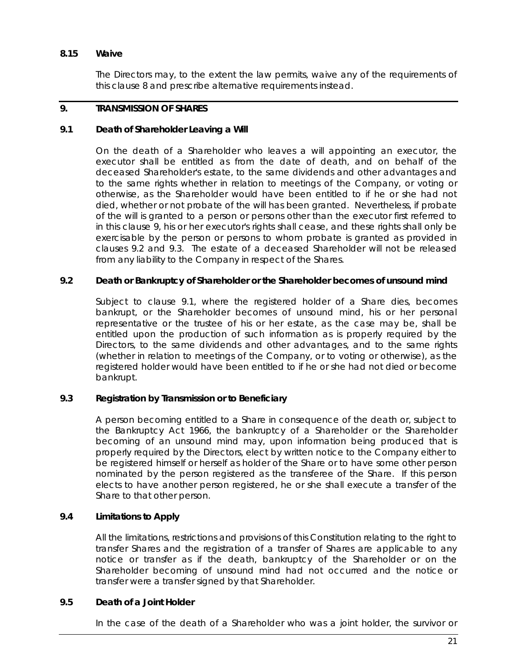## **8.15 Waive**

The Directors may, to the extent the law permits, waive any of the requirements of this clause [8](#page-24-1) and prescribe alternative requirements instead.

## <span id="page-27-0"></span>**9. TRANSMISSION OF SHARES**

## <span id="page-27-3"></span>**9.1 Death of Shareholder Leaving a Will**

On the death of a Shareholder who leaves a will appointing an executor, the executor shall be entitled as from the date of death, and on behalf of the deceased Shareholder's estate, to the same dividends and other advantages and to the same rights whether in relation to meetings of the Company, or voting or otherwise, as the Shareholder would have been entitled to if he or she had not died, whether or not probate of the will has been granted. Nevertheless, if probate of the will is granted to a person or persons other than the executor first referred to in this clause [9,](#page-27-0) his or her executor's rights shall cease, and these rights shall only be exercisable by the person or persons to whom probate is granted as provided in clauses [9.2](#page-27-1) and [9.3.](#page-27-2) The estate of a deceased Shareholder will not be released from any liability to the Company in respect of the Shares.

## <span id="page-27-1"></span>**9.2 Death or Bankruptcy of Shareholder or the Shareholder becomes of unsound mind**

Subject to clause [9.1,](#page-27-3) where the registered holder of a Share dies, becomes bankrupt, or the Shareholder becomes of unsound mind, his or her personal representative or the trustee of his or her estate, as the case may be, shall be entitled upon the production of such information as is properly required by the Directors, to the same dividends and other advantages, and to the same rights (whether in relation to meetings of the Company, or to voting or otherwise), as the registered holder would have been entitled to if he or she had not died or become bankrupt.

#### <span id="page-27-2"></span>**9.3 Registration by Transmission or to Beneficiary**

A person becoming entitled to a Share in consequence of the death or, subject to the *Bankruptcy Act 1966*, the bankruptcy of a Shareholder or the Shareholder becoming of an unsound mind may, upon information being produced that is properly required by the Directors, elect by written notice to the Company either to be registered himself or herself as holder of the Share or to have some other person nominated by the person registered as the transferee of the Share. If this person elects to have another person registered, he or she shall execute a transfer of the Share to that other person.

# **9.4 Limitations to Apply**

All the limitations, restrictions and provisions of this Constitution relating to the right to transfer Shares and the registration of a transfer of Shares are applicable to any notice or transfer as if the death, bankruptcy of the Shareholder or on the Shareholder becoming of unsound mind had not occurred and the notice or transfer were a transfer signed by that Shareholder.

## <span id="page-27-4"></span>**9.5 Death of a Joint Holder**

In the case of the death of a Shareholder who was a joint holder, the survivor or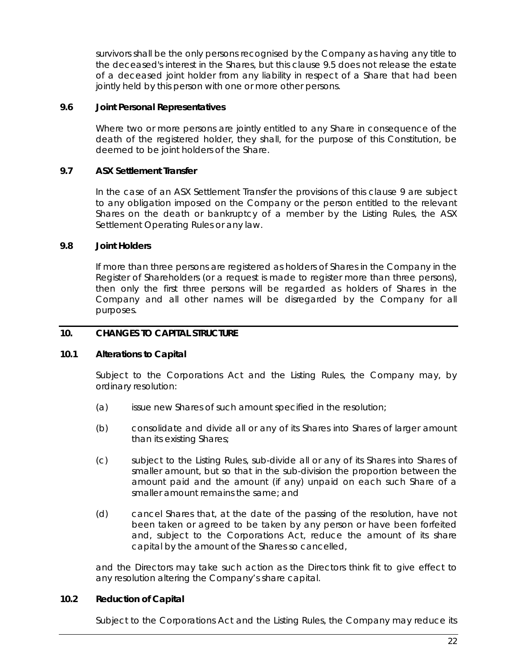survivors shall be the only persons recognised by the Company as having any title to the deceased's interest in the Shares, but this clause [9.5](#page-27-4) does not release the estate of a deceased joint holder from any liability in respect of a Share that had been jointly held by this person with one or more other persons.

## **9.6 Joint Personal Representatives**

Where two or more persons are jointly entitled to any Share in consequence of the death of the registered holder, they shall, for the purpose of this Constitution, be deemed to be joint holders of the Share.

# **9.7 ASX Settlement Transfer**

In the case of an ASX Settlement Transfer the provisions of this clause [9](#page-27-0) are subject to any obligation imposed on the Company or the person entitled to the relevant Shares on the death or bankruptcy of a member by the Listing Rules, the ASX Settlement Operating Rules or any law.

## **9.8 Joint Holders**

If more than three persons are registered as holders of Shares in the Company in the Register of Shareholders (or a request is made to register more than three persons), then only the first three persons will be regarded as holders of Shares in the Company and all other names will be disregarded by the Company for all purposes.

## **10. CHANGES TO CAPITAL STRUCTURE**

#### **10.1 Alterations to Capital**

Subject to the Corporations Act and the Listing Rules, the Company may, by ordinary resolution:

- (a) issue new Shares of such amount specified in the resolution;
- (b) consolidate and divide all or any of its Shares into Shares of larger amount than its existing Shares;
- (c) subject to the Listing Rules, sub-divide all or any of its Shares into Shares of smaller amount, but so that in the sub-division the proportion between the amount paid and the amount (if any) unpaid on each such Share of a smaller amount remains the same; and
- (d) cancel Shares that, at the date of the passing of the resolution, have not been taken or agreed to be taken by any person or have been forfeited and, subject to the Corporations Act, reduce the amount of its share capital by the amount of the Shares so cancelled,

and the Directors may take such action as the Directors think fit to give effect to any resolution altering the Company's share capital.

#### **10.2 Reduction of Capital**

Subject to the Corporations Act and the Listing Rules, the Company may reduce its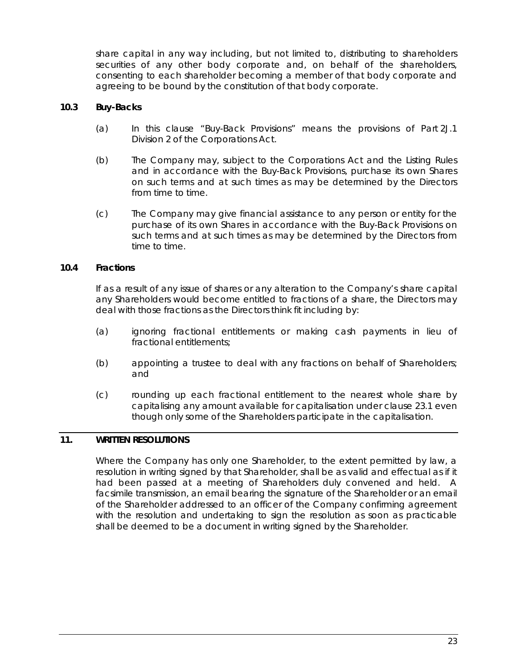share capital in any way including, but not limited to, distributing to shareholders securities of any other body corporate and, on behalf of the shareholders, consenting to each shareholder becoming a member of that body corporate and agreeing to be bound by the constitution of that body corporate.

## **10.3 Buy-Backs**

- (a) In this clause "Buy-Back Provisions" means the provisions of Part 2J.1 Division 2 of the Corporations Act.
- (b) The Company may, subject to the Corporations Act and the Listing Rules and in accordance with the Buy-Back Provisions, purchase its own Shares on such terms and at such times as may be determined by the Directors from time to time.
- (c) The Company may give financial assistance to any person or entity for the purchase of its own Shares in accordance with the Buy-Back Provisions on such terms and at such times as may be determined by the Directors from time to time.

# **10.4 Fractions**

If as a result of any issue of shares or any alteration to the Company's share capital any Shareholders would become entitled to fractions of a share, the Directors may deal with those fractions as the Directors think fit including by:

- (a) ignoring fractional entitlements or making cash payments in lieu of fractional entitlements;
- (b) appointing a trustee to deal with any fractions on behalf of Shareholders; and
- (c) rounding up each fractional entitlement to the nearest whole share by capitalising any amount available for capitalisation under clause [23.1](#page-53-0) even though only some of the Shareholders participate in the capitalisation.

## <span id="page-29-0"></span>**11. WRITTEN RESOLUTIONS**

Where the Company has only one Shareholder, to the extent permitted by law, a resolution in writing signed by that Shareholder, shall be as valid and effectual as if it had been passed at a meeting of Shareholders duly convened and held. A facsimile transmission, an email bearing the signature of the Shareholder or an email of the Shareholder addressed to an officer of the Company confirming agreement with the resolution and undertaking to sign the resolution as soon as practicable shall be deemed to be a document in writing signed by the Shareholder.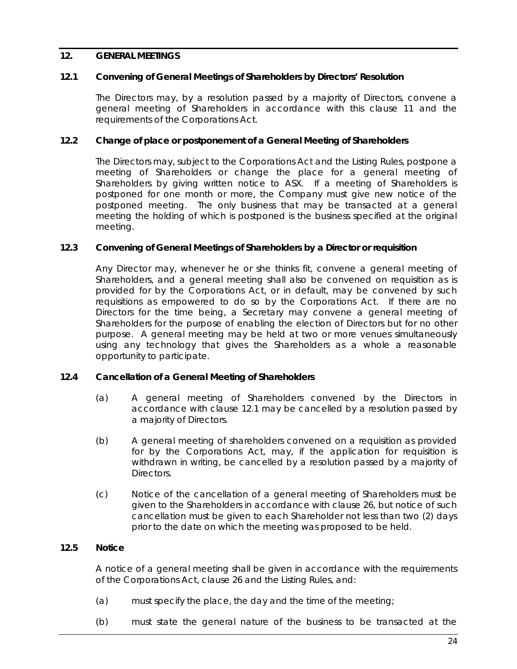## **12. GENERAL MEETINGS**

## <span id="page-30-0"></span>**12.1 Convening of General Meetings of Shareholders by Directors' Resolution**

The Directors may, by a resolution passed by a majority of Directors, convene a general meeting of Shareholders in accordance with this clause [11](#page-29-0) and the requirements of the Corporations Act.

## **12.2 Change of place or postponement of a General Meeting of Shareholders**

The Directors may, subject to the Corporations Act and the Listing Rules, postpone a meeting of Shareholders or change the place for a general meeting of Shareholders by giving written notice to ASX. If a meeting of Shareholders is postponed for one month or more, the Company must give new notice of the postponed meeting. The only business that may be transacted at a general meeting the holding of which is postponed is the business specified at the original meeting.

#### **12.3 Convening of General Meetings of Shareholders by a Director or requisition**

Any Director may, whenever he or she thinks fit, convene a general meeting of Shareholders, and a general meeting shall also be convened on requisition as is provided for by the Corporations Act, or in default, may be convened by such requisitions as empowered to do so by the Corporations Act. If there are no Directors for the time being, a Secretary may convene a general meeting of Shareholders for the purpose of enabling the election of Directors but for no other purpose. A general meeting may be held at two or more venues simultaneously using any technology that gives the Shareholders as a whole a reasonable opportunity to participate.

# **12.4 Cancellation of a General Meeting of Shareholders**

- (a) A general meeting of Shareholders convened by the Directors in accordance with clause [12.1](#page-30-0) may be cancelled by a resolution passed by a majority of Directors.
- (b) A general meeting of shareholders convened on a requisition as provided for by the Corporations Act, may, if the application for requisition is withdrawn in writing, be cancelled by a resolution passed by a majority of Directors.
- (c) Notice of the cancellation of a general meeting of Shareholders must be given to the Shareholders in accordance with clause [26,](#page-55-1) but notice of such cancellation must be given to each Shareholder not less than two (2) days prior to the date on which the meeting was proposed to be held.

# **12.5 Notice**

A notice of a general meeting shall be given in accordance with the requirements of the Corporations Act, clause [26](#page-55-1) and the Listing Rules, and:

- (a) must specify the place, the day and the time of the meeting;
- (b) must state the general nature of the business to be transacted at the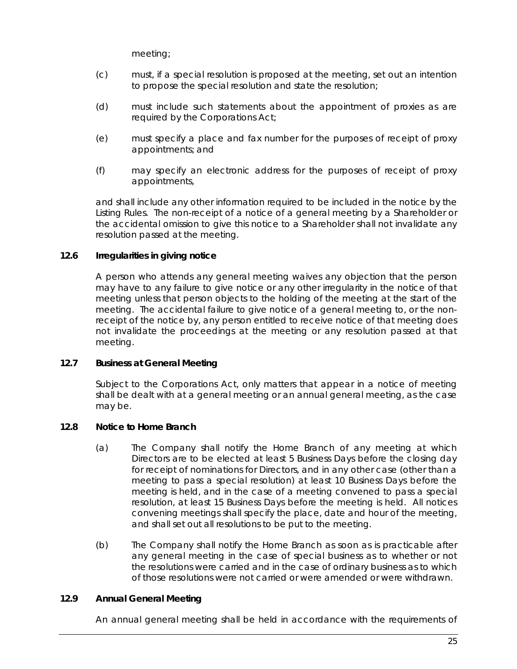meeting;

- (c) must, if a special resolution is proposed at the meeting, set out an intention to propose the special resolution and state the resolution;
- (d) must include such statements about the appointment of proxies as are required by the Corporations Act;
- (e) must specify a place and fax number for the purposes of receipt of proxy appointments; and
- (f) may specify an electronic address for the purposes of receipt of proxy appointments,

and shall include any other information required to be included in the notice by the Listing Rules. The non-receipt of a notice of a general meeting by a Shareholder or the accidental omission to give this notice to a Shareholder shall not invalidate any resolution passed at the meeting.

# **12.6 Irregularities in giving notice**

A person who attends any general meeting waives any objection that the person may have to any failure to give notice or any other irregularity in the notice of that meeting unless that person objects to the holding of the meeting at the start of the meeting. The accidental failure to give notice of a general meeting to, or the nonreceipt of the notice by, any person entitled to receive notice of that meeting does not invalidate the proceedings at the meeting or any resolution passed at that meeting.

# **12.7 Business at General Meeting**

Subject to the Corporations Act, only matters that appear in a notice of meeting shall be dealt with at a general meeting or an annual general meeting, as the case may be.

# **12.8 Notice to Home Branch**

- (a) The Company shall notify the Home Branch of any meeting at which Directors are to be elected at least 5 Business Days before the closing day for receipt of nominations for Directors, and in any other case (other than a meeting to pass a special resolution) at least 10 Business Days before the meeting is held, and in the case of a meeting convened to pass a special resolution, at least 15 Business Days before the meeting is held. All notices convening meetings shall specify the place, date and hour of the meeting, and shall set out all resolutions to be put to the meeting.
- (b) The Company shall notify the Home Branch as soon as is practicable after any general meeting in the case of special business as to whether or not the resolutions were carried and in the case of ordinary business as to which of those resolutions were not carried or were amended or were withdrawn.

# **12.9 Annual General Meeting**

An annual general meeting shall be held in accordance with the requirements of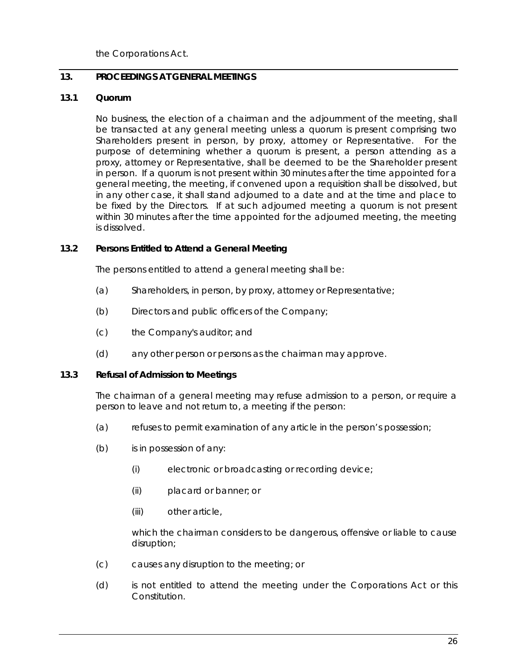the Corporations Act.

# **13. PROCEEDINGS AT GENERAL MEETINGS**

# **13.1 Quorum**

No business, the election of a chairman and the adjournment of the meeting, shall be transacted at any general meeting unless a quorum is present comprising two Shareholders present in person, by proxy, attorney or Representative. For the purpose of determining whether a quorum is present, a person attending as a proxy, attorney or Representative, shall be deemed to be the Shareholder present in person. If a quorum is not present within 30 minutes after the time appointed for a general meeting, the meeting, if convened upon a requisition shall be dissolved, but in any other case, it shall stand adjourned to a date and at the time and place to be fixed by the Directors. If at such adjourned meeting a quorum is not present within 30 minutes after the time appointed for the adjourned meeting, the meeting is dissolved.

## **13.2 Persons Entitled to Attend a General Meeting**

The persons entitled to attend a general meeting shall be:

- (a) Shareholders, in person, by proxy, attorney or Representative;
- (b) Directors and public officers of the Company;
- (c) the Company's auditor; and
- (d) any other person or persons as the chairman may approve.

#### <span id="page-32-0"></span>**13.3 Refusal of Admission to Meetings**

The chairman of a general meeting may refuse admission to a person, or require a person to leave and not return to, a meeting if the person:

- (a) refuses to permit examination of any article in the person's possession;
- (b) is in possession of any:
	- (i) electronic or broadcasting or recording device;
	- (ii) placard or banner; or
	- (iii) other article,

which the chairman considers to be dangerous, offensive or liable to cause disruption;

- (c) causes any disruption to the meeting; or
- (d) is not entitled to attend the meeting under the Corporations Act or this Constitution.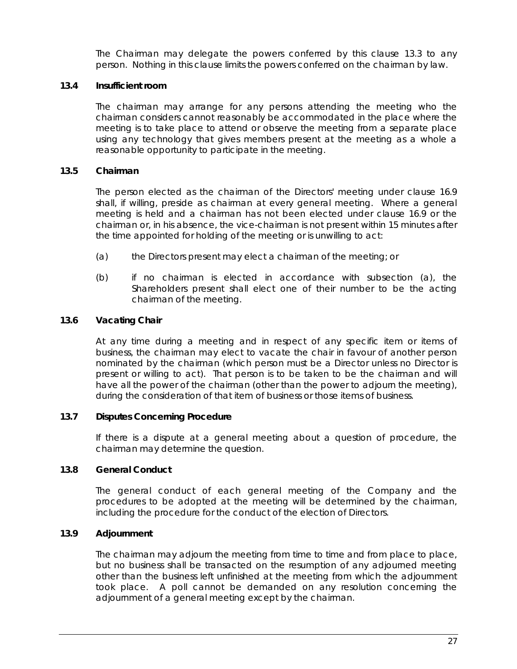The Chairman may delegate the powers conferred by this clause [13.3](#page-32-0) to any person. Nothing in this clause limits the powers conferred on the chairman by law.

# **13.4 Insufficient room**

The chairman may arrange for any persons attending the meeting who the chairman considers cannot reasonably be accommodated in the place where the meeting is to take place to attend or observe the meeting from a separate place using any technology that gives members present at the meeting as a whole a reasonable opportunity to participate in the meeting.

# **13.5 Chairman**

The person elected as the chairman of the Directors' meeting under clause [16.9](#page-45-0) shall, if willing, preside as chairman at every general meeting. Where a general meeting is held and a chairman has not been elected under clause [16.9](#page-45-0) or the chairman or, in his absence, the vice-chairman is not present within 15 minutes after the time appointed for holding of the meeting or is unwilling to act:

- (a) the Directors present may elect a chairman of the meeting; or
- (b) if no chairman is elected in accordance with subsection (a), the Shareholders present shall elect one of their number to be the acting chairman of the meeting.

# **13.6 Vacating Chair**

At any time during a meeting and in respect of any specific item or items of business, the chairman may elect to vacate the chair in favour of another person nominated by the chairman (which person must be a Director unless no Director is present or willing to act). That person is to be taken to be the chairman and will have all the power of the chairman (other than the power to adjourn the meeting), during the consideration of that item of business or those items of business.

# **13.7 Disputes Concerning Procedure**

If there is a dispute at a general meeting about a question of procedure, the chairman may determine the question.

# **13.8 General Conduct**

The general conduct of each general meeting of the Company and the procedures to be adopted at the meeting will be determined by the chairman, including the procedure for the conduct of the election of Directors.

# **13.9 Adjournment**

The chairman may adjourn the meeting from time to time and from place to place, but no business shall be transacted on the resumption of any adjourned meeting other than the business left unfinished at the meeting from which the adjournment took place. A poll cannot be demanded on any resolution concerning the adjournment of a general meeting except by the chairman.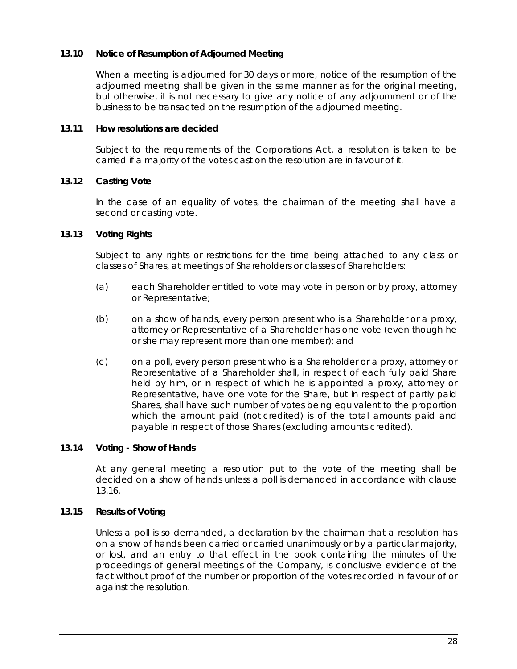# <span id="page-34-0"></span>**13.10 Notice of Resumption of Adjourned Meeting**

When a meeting is adjourned for 30 days or more, notice of the resumption of the adjourned meeting shall be given in the same manner as for the original meeting, but otherwise, it is not necessary to give any notice of any adjournment or of the business to be transacted on the resumption of the adjourned meeting.

#### **13.11 How resolutions are decided**

Subject to the requirements of the Corporations Act, a resolution is taken to be carried if a majority of the votes cast on the resolution are in favour of it.

## **13.12 Casting Vote**

In the case of an equality of votes, the chairman of the meeting shall have a second or casting vote.

## **13.13 Voting Rights**

Subject to any rights or restrictions for the time being attached to any class or classes of Shares, at meetings of Shareholders or classes of Shareholders:

- (a) each Shareholder entitled to vote may vote in person or by proxy, attorney or Representative;
- (b) on a show of hands, every person present who is a Shareholder or a proxy, attorney or Representative of a Shareholder has one vote (even though he or she may represent more than one member); and
- (c) on a poll, every person present who is a Shareholder or a proxy, attorney or Representative of a Shareholder shall, in respect of each fully paid Share held by him, or in respect of which he is appointed a proxy, attorney or Representative, have one vote for the Share, but in respect of partly paid Shares, shall have such number of votes being equivalent to the proportion which the amount paid (not credited) is of the total amounts paid and payable in respect of those Shares (excluding amounts credited).

# **13.14 Voting - Show of Hands**

At any general meeting a resolution put to the vote of the meeting shall be decided on a show of hands unless a poll is demanded in accordance with clause [13.16.](#page-35-0)

#### **13.15 Results of Voting**

Unless a poll is so demanded, a declaration by the chairman that a resolution has on a show of hands been carried or carried unanimously or by a particular majority, or lost, and an entry to that effect in the book containing the minutes of the proceedings of general meetings of the Company, is conclusive evidence of the fact without proof of the number or proportion of the votes recorded in favour of or against the resolution.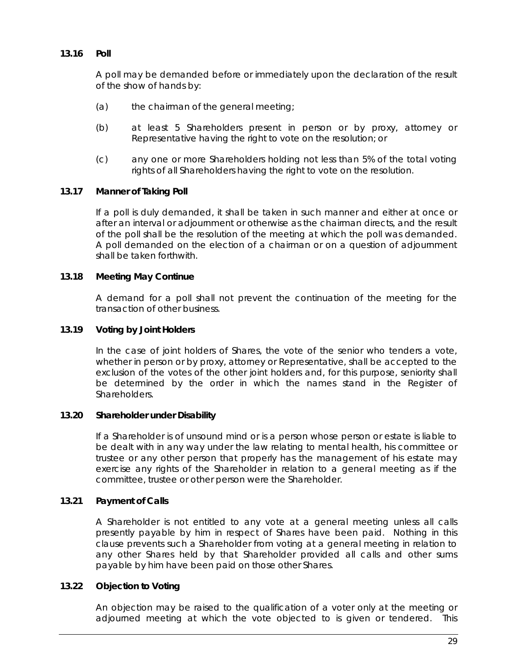## <span id="page-35-0"></span>**13.16 Poll**

A poll may be demanded before or immediately upon the declaration of the result of the show of hands by:

- (a) the chairman of the general meeting;
- (b) at least 5 Shareholders present in person or by proxy, attorney or Representative having the right to vote on the resolution; or
- (c) any one or more Shareholders holding not less than 5% of the total voting rights of all Shareholders having the right to vote on the resolution.

## **13.17 Manner of Taking Poll**

If a poll is duly demanded, it shall be taken in such manner and either at once or after an interval or adjournment or otherwise as the chairman directs, and the result of the poll shall be the resolution of the meeting at which the poll was demanded. A poll demanded on the election of a chairman or on a question of adjournment shall be taken forthwith.

## **13.18 Meeting May Continue**

A demand for a poll shall not prevent the continuation of the meeting for the transaction of other business.

## **13.19 Voting by Joint Holders**

In the case of joint holders of Shares, the vote of the senior who tenders a vote, whether in person or by proxy, attorney or Representative, shall be accepted to the exclusion of the votes of the other joint holders and, for this purpose, seniority shall be determined by the order in which the names stand in the Register of Shareholders.

#### **13.20 Shareholder under Disability**

If a Shareholder is of unsound mind or is a person whose person or estate is liable to be dealt with in any way under the law relating to mental health, his committee or trustee or any other person that properly has the management of his estate may exercise any rights of the Shareholder in relation to a general meeting as if the committee, trustee or other person were the Shareholder.

#### **13.21 Payment of Calls**

A Shareholder is not entitled to any vote at a general meeting unless all calls presently payable by him in respect of Shares have been paid. Nothing in this clause prevents such a Shareholder from voting at a general meeting in relation to any other Shares held by that Shareholder provided all calls and other sums payable by him have been paid on those other Shares.

## **13.22 Objection to Voting**

An objection may be raised to the qualification of a voter only at the meeting or adjourned meeting at which the vote objected to is given or tendered. This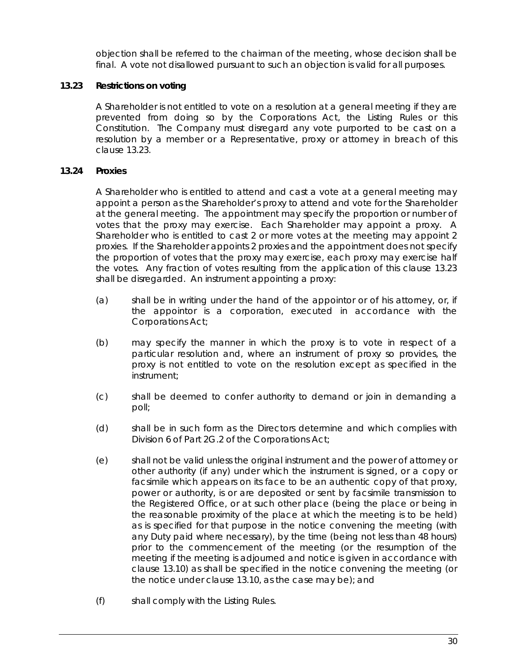objection shall be referred to the chairman of the meeting, whose decision shall be final. A vote not disallowed pursuant to such an objection is valid for all purposes.

# <span id="page-36-0"></span>**13.23 Restrictions on voting**

A Shareholder is not entitled to vote on a resolution at a general meeting if they are prevented from doing so by the Corporations Act, the Listing Rules or this Constitution. The Company must disregard any vote purported to be cast on a resolution by a member or a Representative, proxy or attorney in breach of this clause [13.23.](#page-36-0)

# **13.24 Proxies**

A Shareholder who is entitled to attend and cast a vote at a general meeting may appoint a person as the Shareholder's proxy to attend and vote for the Shareholder at the general meeting. The appointment may specify the proportion or number of votes that the proxy may exercise. Each Shareholder may appoint a proxy. A Shareholder who is entitled to cast 2 or more votes at the meeting may appoint 2 proxies. If the Shareholder appoints 2 proxies and the appointment does not specify the proportion of votes that the proxy may exercise, each proxy may exercise half the votes. Any fraction of votes resulting from the application of this clause [13.23](#page-36-0) shall be disregarded. An instrument appointing a proxy:

- (a) shall be in writing under the hand of the appointor or of his attorney, or, if the appointor is a corporation, executed in accordance with the Corporations Act;
- (b) may specify the manner in which the proxy is to vote in respect of a particular resolution and, where an instrument of proxy so provides, the proxy is not entitled to vote on the resolution except as specified in the instrument;
- (c) shall be deemed to confer authority to demand or join in demanding a poll;
- (d) shall be in such form as the Directors determine and which complies with Division 6 of Part 2G.2 of the Corporations Act;
- <span id="page-36-1"></span>(e) shall not be valid unless the original instrument and the power of attorney or other authority (if any) under which the instrument is signed, or a copy or facsimile which appears on its face to be an authentic copy of that proxy, power or authority, is or are deposited or sent by facsimile transmission to the Registered Office, or at such other place (being the place or being in the reasonable proximity of the place at which the meeting is to be held) as is specified for that purpose in the notice convening the meeting (with any Duty paid where necessary), by the time (being not less than 48 hours) prior to the commencement of the meeting (or the resumption of the meeting if the meeting is adjourned and notice is given in accordance with clause [13.10\)](#page-34-0) as shall be specified in the notice convening the meeting (or the notice under clause [13.10,](#page-34-0) as the case may be); and
- (f) shall comply with the Listing Rules.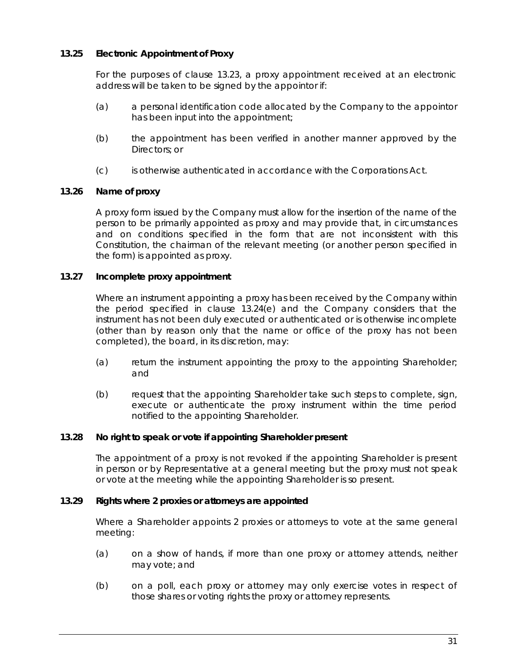# **13.25 Electronic Appointment of Proxy**

For the purposes of clause [13.23,](#page-36-0) a proxy appointment received at an electronic address will be taken to be signed by the appointor if:

- (a) a personal identification code allocated by the Company to the appointor has been input into the appointment;
- (b) the appointment has been verified in another manner approved by the Directors; or
- (c) is otherwise authenticated in accordance with the Corporations Act.

# **13.26 Name of proxy**

A proxy form issued by the Company must allow for the insertion of the name of the person to be primarily appointed as proxy and may provide that, in circumstances and on conditions specified in the form that are not inconsistent with this Constitution, the chairman of the relevant meeting (or another person specified in the form) is appointed as proxy.

# **13.27 Incomplete proxy appointment**

Where an instrument appointing a proxy has been received by the Company within the period specified in clause [13.24\(e\)](#page-36-1) and the Company considers that the instrument has not been duly executed or authenticated or is otherwise incomplete (other than by reason only that the name or office of the proxy has not been completed), the board, in its discretion, may:

- (a) return the instrument appointing the proxy to the appointing Shareholder; and
- (b) request that the appointing Shareholder take such steps to complete, sign, execute or authenticate the proxy instrument within the time period notified to the appointing Shareholder.

# **13.28 No right to speak or vote if appointing Shareholder present**

The appointment of a proxy is not revoked if the appointing Shareholder is present in person or by Representative at a general meeting but the proxy must not speak or vote at the meeting while the appointing Shareholder is so present.

# **13.29 Rights where 2 proxies or attorneys are appointed**

Where a Shareholder appoints 2 proxies or attorneys to vote at the same general meeting:

- (a) on a show of hands, if more than one proxy or attorney attends, neither may vote; and
- (b) on a poll, each proxy or attorney may only exercise votes in respect of those shares or voting rights the proxy or attorney represents.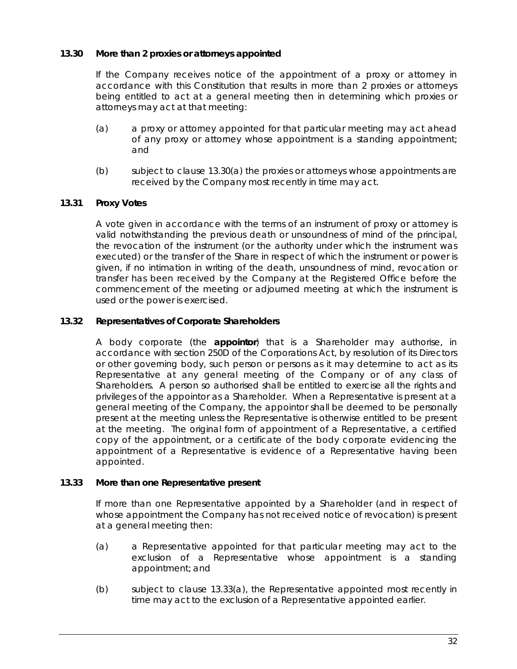# <span id="page-38-1"></span>**13.30 More than 2 proxies or attorneys appointed**

If the Company receives notice of the appointment of a proxy or attorney in accordance with this Constitution that results in more than 2 proxies or attorneys being entitled to act at a general meeting then in determining which proxies or attorneys may act at that meeting:

- (a) a proxy or attorney appointed for that particular meeting may act ahead of any proxy or attorney whose appointment is a standing appointment; and
- (b) subject to clause [13.30\(a\)](#page-38-1) the proxies or attorneys whose appointments are received by the Company most recently in time may act.

# **13.31 Proxy Votes**

A vote given in accordance with the terms of an instrument of proxy or attorney is valid notwithstanding the previous death or unsoundness of mind of the principal, the revocation of the instrument (or the authority under which the instrument was executed) or the transfer of the Share in respect of which the instrument or power is given, if no intimation in writing of the death, unsoundness of mind, revocation or transfer has been received by the Company at the Registered Office before the commencement of the meeting or adjourned meeting at which the instrument is used or the power is exercised.

# <span id="page-38-0"></span>**13.32 Representatives of Corporate Shareholders**

A body corporate (the **appointor**) that is a Shareholder may authorise, in accordance with section 250D of the Corporations Act, by resolution of its Directors or other governing body, such person or persons as it may determine to act as its Representative at any general meeting of the Company or of any class of Shareholders. A person so authorised shall be entitled to exercise all the rights and privileges of the appointor as a Shareholder. When a Representative is present at a general meeting of the Company, the appointor shall be deemed to be personally present at the meeting unless the Representative is otherwise entitled to be present at the meeting. The original form of appointment of a Representative, a certified copy of the appointment, or a certificate of the body corporate evidencing the appointment of a Representative is evidence of a Representative having been appointed.

# <span id="page-38-2"></span>**13.33 More than one Representative present**

If more than one Representative appointed by a Shareholder (and in respect of whose appointment the Company has not received notice of revocation) is present at a general meeting then:

- (a) a Representative appointed for that particular meeting may act to the exclusion of a Representative whose appointment is a standing appointment; and
- (b) subject to clause [13.33\(a\),](#page-38-2) the Representative appointed most recently in time may act to the exclusion of a Representative appointed earlier.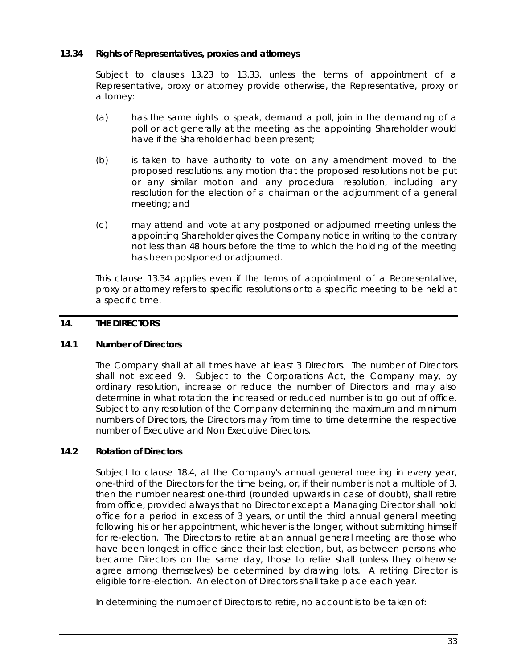# <span id="page-39-0"></span>**13.34 Rights of Representatives, proxies and attorneys**

Subject to clauses [13.23](#page-36-0) to [13.33,](#page-38-2) unless the terms of appointment of a Representative, proxy or attorney provide otherwise, the Representative, proxy or attorney:

- (a) has the same rights to speak, demand a poll, join in the demanding of a poll or act generally at the meeting as the appointing Shareholder would have if the Shareholder had been present;
- (b) is taken to have authority to vote on any amendment moved to the proposed resolutions, any motion that the proposed resolutions not be put or any similar motion and any procedural resolution, including any resolution for the election of a chairman or the adjournment of a general meeting; and
- (c) may attend and vote at any postponed or adjourned meeting unless the appointing Shareholder gives the Company notice in writing to the contrary not less than 48 hours before the time to which the holding of the meeting has been postponed or adjourned.

This clause [13.34](#page-39-0) applies even if the terms of appointment of a Representative, proxy or attorney refers to specific resolutions or to a specific meeting to be held at a specific time.

# **14. THE DIRECTORS**

# <span id="page-39-1"></span>**14.1 Number of Directors**

The Company shall at all times have at least 3 Directors. The number of Directors shall not exceed 9. Subject to the Corporations Act, the Company may, by ordinary resolution, increase or reduce the number of Directors and may also determine in what rotation the increased or reduced number is to go out of office. Subject to any resolution of the Company determining the maximum and minimum numbers of Directors, the Directors may from time to time determine the respective number of Executive and Non Executive Directors.

#### <span id="page-39-2"></span>**14.2 Rotation of Directors**

Subject to clause [18.4,](#page-49-0) at the Company's annual general meeting in every year, one-third of the Directors for the time being, or, if their number is not a multiple of 3, then the number nearest one-third (rounded upwards in case of doubt), shall retire from office, provided always that no Director except a Managing Director shall hold office for a period in excess of 3 years, or until the third annual general meeting following his or her appointment, whichever is the longer, without submitting himself for re-election. The Directors to retire at an annual general meeting are those who have been longest in office since their last election, but, as between persons who became Directors on the same day, those to retire shall (unless they otherwise agree among themselves) be determined by drawing lots. A retiring Director is eligible for re-election. An election of Directors shall take place each year.

In determining the number of Directors to retire, no account is to be taken of: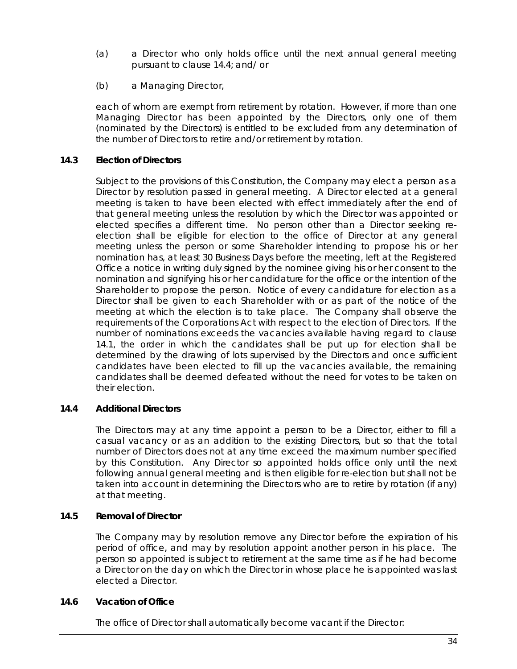- (a) a Director who only holds office until the next annual general meeting pursuant to clause [14.4;](#page-40-0) and/ or
- (b) a Managing Director,

each of whom are exempt from retirement by rotation. However, if more than one Managing Director has been appointed by the Directors, only one of them (nominated by the Directors) is entitled to be excluded from any determination of the number of Directors to retire and/or retirement by rotation.

# **14.3 Election of Directors**

Subject to the provisions of this Constitution, the Company may elect a person as a Director by resolution passed in general meeting. A Director elected at a general meeting is taken to have been elected with effect immediately after the end of that general meeting unless the resolution by which the Director was appointed or elected specifies a different time. No person other than a Director seeking reelection shall be eligible for election to the office of Director at any general meeting unless the person or some Shareholder intending to propose his or her nomination has, at least 30 Business Days before the meeting, left at the Registered Office a notice in writing duly signed by the nominee giving his or her consent to the nomination and signifying his or her candidature for the office or the intention of the Shareholder to propose the person. Notice of every candidature for election as a Director shall be given to each Shareholder with or as part of the notice of the meeting at which the election is to take place. The Company shall observe the requirements of the Corporations Act with respect to the election of Directors. If the number of nominations exceeds the vacancies available having regard to clause [14.1,](#page-39-1) the order in which the candidates shall be put up for election shall be determined by the drawing of lots supervised by the Directors and once sufficient candidates have been elected to fill up the vacancies available, the remaining candidates shall be deemed defeated without the need for votes to be taken on their election.

# <span id="page-40-0"></span>**14.4 Additional Directors**

The Directors may at any time appoint a person to be a Director, either to fill a casual vacancy or as an addition to the existing Directors, but so that the total number of Directors does not at any time exceed the maximum number specified by this Constitution. Any Director so appointed holds office only until the next following annual general meeting and is then eligible for re-election but shall not be taken into account in determining the Directors who are to retire by rotation (if any) at that meeting.

# <span id="page-40-1"></span>**14.5 Removal of Director**

The Company may by resolution remove any Director before the expiration of his period of office, and may by resolution appoint another person in his place. The person so appointed is subject to retirement at the same time as if he had become a Director on the day on which the Director in whose place he is appointed was last elected a Director.

# **14.6 Vacation of Office**

The office of Director shall automatically become vacant if the Director: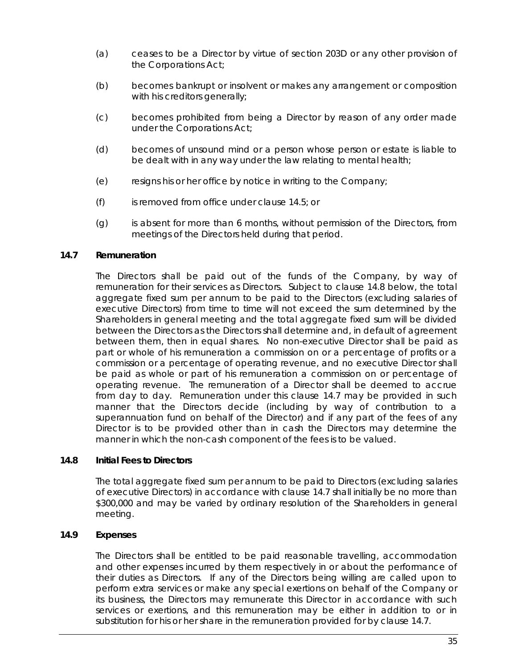- (a) ceases to be a Director by virtue of section 203D or any other provision of the Corporations Act;
- (b) becomes bankrupt or insolvent or makes any arrangement or composition with his creditors generally;
- (c) becomes prohibited from being a Director by reason of any order made under the Corporations Act;
- (d) becomes of unsound mind or a person whose person or estate is liable to be dealt with in any way under the law relating to mental health;
- (e) resigns his or her office by notice in writing to the Company;
- (f) is removed from office under claus[e 14.5;](#page-40-1) or
- (g) is absent for more than 6 months, without permission of the Directors, from meetings of the Directors held during that period.

# <span id="page-41-1"></span>**14.7 Remuneration**

The Directors shall be paid out of the funds of the Company, by way of remuneration for their services as Directors. Subject to clause [14.8](#page-41-0) below, the total aggregate fixed sum per annum to be paid to the Directors (excluding salaries of executive Directors) from time to time will not exceed the sum determined by the Shareholders in general meeting and the total aggregate fixed sum will be divided between the Directors as the Directors shall determine and, in default of agreement between them, then in equal shares. No non-executive Director shall be paid as part or whole of his remuneration a commission on or a percentage of profits or a commission or a percentage of operating revenue, and no executive Director shall be paid as whole or part of his remuneration a commission on or percentage of operating revenue. The remuneration of a Director shall be deemed to accrue from day to day. Remuneration under this clause [14.7](#page-41-1) may be provided in such manner that the Directors decide (including by way of contribution to a superannuation fund on behalf of the Director) and if any part of the fees of any Director is to be provided other than in cash the Directors may determine the manner in which the non-cash component of the fees is to be valued.

# <span id="page-41-0"></span>**14.8 Initial Fees to Directors**

The total aggregate fixed sum per annum to be paid to Directors (excluding salaries of executive Directors) in accordance with clause [14.7](#page-41-1) shall initially be no more than \$300,000 and may be varied by ordinary resolution of the Shareholders in general meeting.

# **14.9 Expenses**

The Directors shall be entitled to be paid reasonable travelling, accommodation and other expenses incurred by them respectively in or about the performance of their duties as Directors. If any of the Directors being willing are called upon to perform extra services or make any special exertions on behalf of the Company or its business, the Directors may remunerate this Director in accordance with such services or exertions, and this remuneration may be either in addition to or in substitution for his or her share in the remuneration provided for by clause [14.7.](#page-41-1)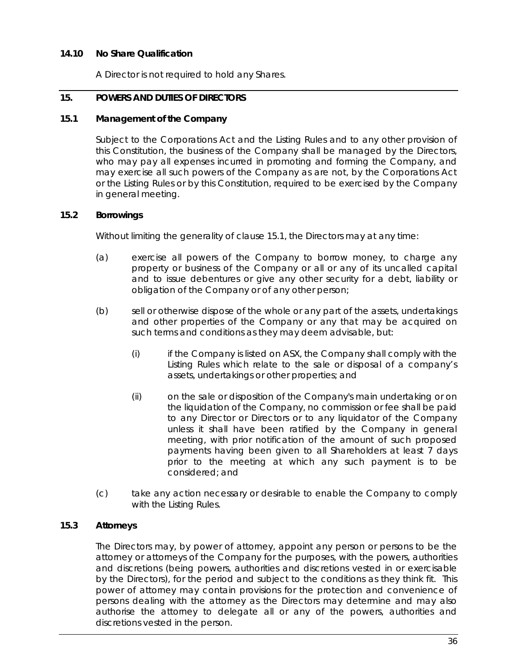# **14.10 No Share Qualification**

A Director is not required to hold any Shares.

# **15. POWERS AND DUTIES OF DIRECTORS**

# <span id="page-42-0"></span>**15.1 Management of the Company**

Subject to the Corporations Act and the Listing Rules and to any other provision of this Constitution, the business of the Company shall be managed by the Directors, who may pay all expenses incurred in promoting and forming the Company, and may exercise all such powers of the Company as are not, by the Corporations Act or the Listing Rules or by this Constitution, required to be exercised by the Company in general meeting.

# **15.2 Borrowings**

Without limiting the generality of clause [15.1,](#page-42-0) the Directors may at any time:

- (a) exercise all powers of the Company to borrow money, to charge any property or business of the Company or all or any of its uncalled capital and to issue debentures or give any other security for a debt, liability or obligation of the Company or of any other person;
- (b) sell or otherwise dispose of the whole or any part of the assets, undertakings and other properties of the Company or any that may be acquired on such terms and conditions as they may deem advisable, but:
	- (i) if the Company is listed on ASX, the Company shall comply with the Listing Rules which relate to the sale or disposal of a company's assets, undertakings or other properties; and
	- (ii) on the sale or disposition of the Company's main undertaking or on the liquidation of the Company, no commission or fee shall be paid to any Director or Directors or to any liquidator of the Company unless it shall have been ratified by the Company in general meeting, with prior notification of the amount of such proposed payments having been given to all Shareholders at least 7 days prior to the meeting at which any such payment is to be considered; and
- (c) take any action necessary or desirable to enable the Company to comply with the Listing Rules.

# **15.3 Attorneys**

The Directors may, by power of attorney, appoint any person or persons to be the attorney or attorneys of the Company for the purposes, with the powers, authorities and discretions (being powers, authorities and discretions vested in or exercisable by the Directors), for the period and subject to the conditions as they think fit. This power of attorney may contain provisions for the protection and convenience of persons dealing with the attorney as the Directors may determine and may also authorise the attorney to delegate all or any of the powers, authorities and discretions vested in the person.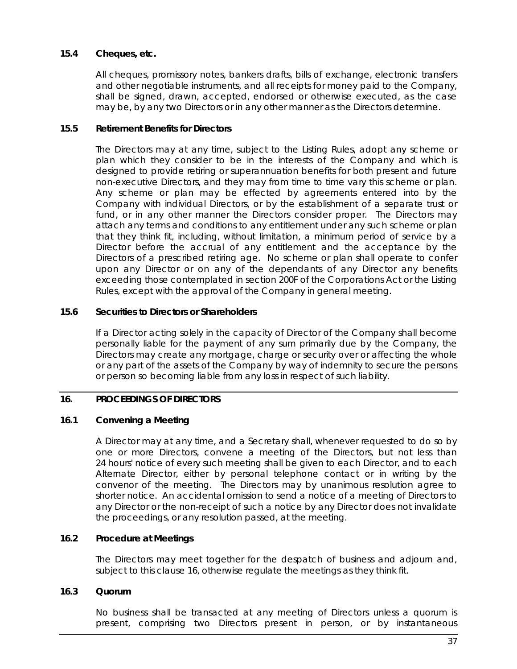# **15.4 Cheques, etc.**

All cheques, promissory notes, bankers drafts, bills of exchange, electronic transfers and other negotiable instruments, and all receipts for money paid to the Company, shall be signed, drawn, accepted, endorsed or otherwise executed, as the case may be, by any two Directors or in any other manner as the Directors determine.

## **15.5 Retirement Benefits for Directors**

The Directors may at any time, subject to the Listing Rules, adopt any scheme or plan which they consider to be in the interests of the Company and which is designed to provide retiring or superannuation benefits for both present and future non-executive Directors, and they may from time to time vary this scheme or plan. Any scheme or plan may be effected by agreements entered into by the Company with individual Directors, or by the establishment of a separate trust or fund, or in any other manner the Directors consider proper. The Directors may attach any terms and conditions to any entitlement under any such scheme or plan that they think fit, including, without limitation, a minimum period of service by a Director before the accrual of any entitlement and the acceptance by the Directors of a prescribed retiring age. No scheme or plan shall operate to confer upon any Director or on any of the dependants of any Director any benefits exceeding those contemplated in section 200F of the Corporations Act or the Listing Rules, except with the approval of the Company in general meeting.

# **15.6 Securities to Directors or Shareholders**

If a Director acting solely in the capacity of Director of the Company shall become personally liable for the payment of any sum primarily due by the Company, the Directors may create any mortgage, charge or security over or affecting the whole or any part of the assets of the Company by way of indemnity to secure the persons or person so becoming liable from any loss in respect of such liability.

# <span id="page-43-0"></span>**16. PROCEEDINGS OF DIRECTORS**

# **16.1 Convening a Meeting**

A Director may at any time, and a Secretary shall, whenever requested to do so by one or more Directors, convene a meeting of the Directors, but not less than 24 hours' notice of every such meeting shall be given to each Director, and to each Alternate Director, either by personal telephone contact or in writing by the convenor of the meeting. The Directors may by unanimous resolution agree to shorter notice. An accidental omission to send a notice of a meeting of Directors to any Director or the non-receipt of such a notice by any Director does not invalidate the proceedings, or any resolution passed, at the meeting.

# **16.2 Procedure at Meetings**

The Directors may meet together for the despatch of business and adjourn and, subject to this clause [16,](#page-43-0) otherwise regulate the meetings as they think fit.

#### **16.3 Quorum**

No business shall be transacted at any meeting of Directors unless a quorum is present, comprising two Directors present in person, or by instantaneous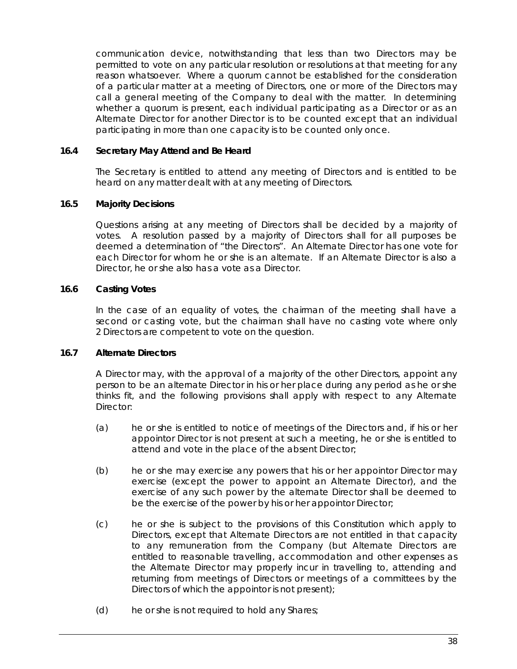communication device, notwithstanding that less than two Directors may be permitted to vote on any particular resolution or resolutions at that meeting for any reason whatsoever. Where a quorum cannot be established for the consideration of a particular matter at a meeting of Directors, one or more of the Directors may call a general meeting of the Company to deal with the matter. In determining whether a quorum is present, each individual participating as a Director or as an Alternate Director for another Director is to be counted except that an individual participating in more than one capacity is to be counted only once.

# **16.4 Secretary May Attend and Be Heard**

The Secretary is entitled to attend any meeting of Directors and is entitled to be heard on any matter dealt with at any meeting of Directors.

# **16.5 Majority Decisions**

Questions arising at any meeting of Directors shall be decided by a majority of votes. A resolution passed by a majority of Directors shall for all purposes be deemed a determination of "the Directors". An Alternate Director has one vote for each Director for whom he or she is an alternate. If an Alternate Director is also a Director, he or she also has a vote as a Director.

# **16.6 Casting Votes**

In the case of an equality of votes, the chairman of the meeting shall have a second or casting vote, but the chairman shall have no casting vote where only 2 Directors are competent to vote on the question.

# <span id="page-44-0"></span>**16.7 Alternate Directors**

A Director may, with the approval of a majority of the other Directors, appoint any person to be an alternate Director in his or her place during any period as he or she thinks fit, and the following provisions shall apply with respect to any Alternate Director:

- (a) he or she is entitled to notice of meetings of the Directors and, if his or her appointor Director is not present at such a meeting, he or she is entitled to attend and vote in the place of the absent Director;
- (b) he or she may exercise any powers that his or her appointor Director may exercise (except the power to appoint an Alternate Director), and the exercise of any such power by the alternate Director shall be deemed to be the exercise of the power by his or her appointor Director;
- (c) he or she is subject to the provisions of this Constitution which apply to Directors, except that Alternate Directors are not entitled in that capacity to any remuneration from the Company (but Alternate Directors are entitled to reasonable travelling, accommodation and other expenses as the Alternate Director may properly incur in travelling to, attending and returning from meetings of Directors or meetings of a committees by the Directors of which the appointor is not present);
- (d) he or she is not required to hold any Shares;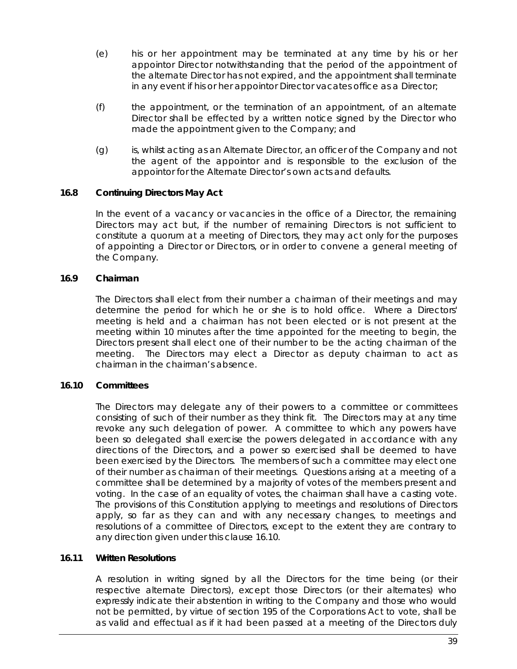- (e) his or her appointment may be terminated at any time by his or her appointor Director notwithstanding that the period of the appointment of the alternate Director has not expired, and the appointment shall terminate in any event if his or her appointor Director vacates office as a Director;
- (f) the appointment, or the termination of an appointment, of an alternate Director shall be effected by a written notice signed by the Director who made the appointment given to the Company; and
- (g) is, whilst acting as an Alternate Director, an officer of the Company and not the agent of the appointor and is responsible to the exclusion of the appointor for the Alternate Director's own acts and defaults.

# **16.8 Continuing Directors May Act**

In the event of a vacancy or vacancies in the office of a Director, the remaining Directors may act but, if the number of remaining Directors is not sufficient to constitute a quorum at a meeting of Directors, they may act only for the purposes of appointing a Director or Directors, or in order to convene a general meeting of the Company.

# <span id="page-45-0"></span>**16.9 Chairman**

The Directors shall elect from their number a chairman of their meetings and may determine the period for which he or she is to hold office. Where a Directors' meeting is held and a chairman has not been elected or is not present at the meeting within 10 minutes after the time appointed for the meeting to begin, the Directors present shall elect one of their number to be the acting chairman of the meeting. The Directors may elect a Director as deputy chairman to act as chairman in the chairman's absence.

# <span id="page-45-1"></span>**16.10 Committees**

The Directors may delegate any of their powers to a committee or committees consisting of such of their number as they think fit. The Directors may at any time revoke any such delegation of power. A committee to which any powers have been so delegated shall exercise the powers delegated in accordance with any directions of the Directors, and a power so exercised shall be deemed to have been exercised by the Directors. The members of such a committee may elect one of their number as chairman of their meetings. Questions arising at a meeting of a committee shall be determined by a majority of votes of the members present and voting. In the case of an equality of votes, the chairman shall have a casting vote. The provisions of this Constitution applying to meetings and resolutions of Directors apply, so far as they can and with any necessary changes, to meetings and resolutions of a committee of Directors, except to the extent they are contrary to any direction given under this clause [16.10.](#page-45-1)

# **16.11 Written Resolutions**

A resolution in writing signed by all the Directors for the time being (or their respective alternate Directors), except those Directors (or their alternates) who expressly indicate their abstention in writing to the Company and those who would not be permitted, by virtue of section 195 of the Corporations Act to vote, shall be as valid and effectual as if it had been passed at a meeting of the Directors duly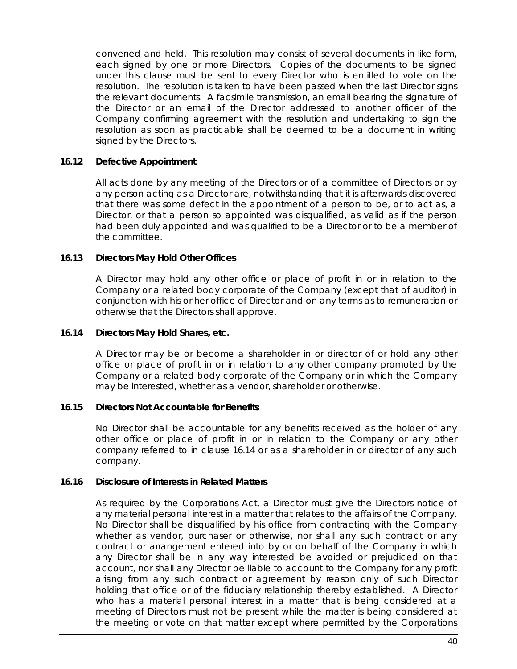convened and held. This resolution may consist of several documents in like form, each signed by one or more Directors. Copies of the documents to be signed under this clause must be sent to every Director who is entitled to vote on the resolution. The resolution is taken to have been passed when the last Director signs the relevant documents. A facsimile transmission, an email bearing the signature of the Director or an email of the Director addressed to another officer of the Company confirming agreement with the resolution and undertaking to sign the resolution as soon as practicable shall be deemed to be a document in writing signed by the Directors.

## **16.12 Defective Appointment**

All acts done by any meeting of the Directors or of a committee of Directors or by any person acting as a Director are, notwithstanding that it is afterwards discovered that there was some defect in the appointment of a person to be, or to act as, a Director, or that a person so appointed was disqualified, as valid as if the person had been duly appointed and was qualified to be a Director or to be a member of the committee.

# **16.13 Directors May Hold Other Offices**

A Director may hold any other office or place of profit in or in relation to the Company or a related body corporate of the Company (except that of auditor) in conjunction with his or her office of Director and on any terms as to remuneration or otherwise that the Directors shall approve.

## <span id="page-46-0"></span>**16.14 Directors May Hold Shares, etc.**

A Director may be or become a shareholder in or director of or hold any other office or place of profit in or in relation to any other company promoted by the Company or a related body corporate of the Company or in which the Company may be interested, whether as a vendor, shareholder or otherwise.

#### **16.15 Directors Not Accountable for Benefits**

No Director shall be accountable for any benefits received as the holder of any other office or place of profit in or in relation to the Company or any other company referred to in clause [16.14](#page-46-0) or as a shareholder in or director of any such company.

#### **16.16 Disclosure of Interests in Related Matters**

As required by the Corporations Act, a Director must give the Directors notice of any material personal interest in a matter that relates to the affairs of the Company. No Director shall be disqualified by his office from contracting with the Company whether as vendor, purchaser or otherwise, nor shall any such contract or any contract or arrangement entered into by or on behalf of the Company in which any Director shall be in any way interested be avoided or prejudiced on that account, nor shall any Director be liable to account to the Company for any profit arising from any such contract or agreement by reason only of such Director holding that office or of the fiduciary relationship thereby established. A Director who has a material personal interest in a matter that is being considered at a meeting of Directors must not be present while the matter is being considered at the meeting or vote on that matter except where permitted by the Corporations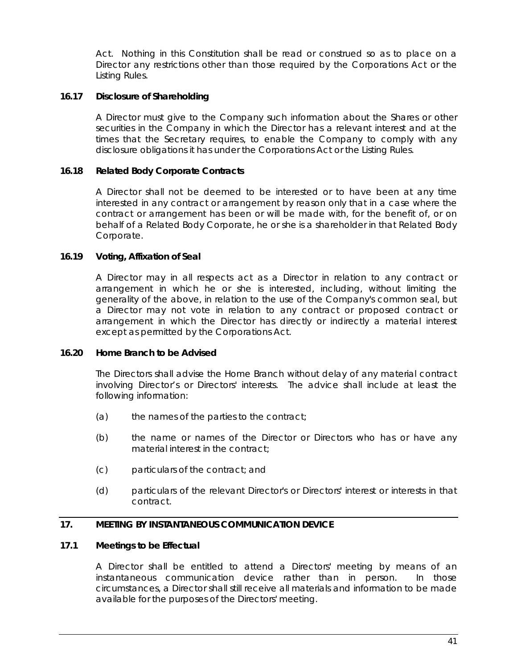Act. Nothing in this Constitution shall be read or construed so as to place on a Director any restrictions other than those required by the Corporations Act or the Listing Rules.

# **16.17 Disclosure of Shareholding**

A Director must give to the Company such information about the Shares or other securities in the Company in which the Director has a relevant interest and at the times that the Secretary requires, to enable the Company to comply with any disclosure obligations it has under the Corporations Act or the Listing Rules.

# **16.18 Related Body Corporate Contracts**

A Director shall not be deemed to be interested or to have been at any time interested in any contract or arrangement by reason only that in a case where the contract or arrangement has been or will be made with, for the benefit of, or on behalf of a Related Body Corporate, he or she is a shareholder in that Related Body Corporate.

# **16.19 Voting, Affixation of Seal**

A Director may in all respects act as a Director in relation to any contract or arrangement in which he or she is interested, including, without limiting the generality of the above, in relation to the use of the Company's common seal, but a Director may not vote in relation to any contract or proposed contract or arrangement in which the Director has directly or indirectly a material interest except as permitted by the Corporations Act.

# **16.20 Home Branch to be Advised**

The Directors shall advise the Home Branch without delay of any material contract involving Director's or Directors' interests. The advice shall include at least the following information:

- $(a)$  the names of the parties to the contract;
- (b) the name or names of the Director or Directors who has or have any material interest in the contract:
- (c) particulars of the contract; and
- (d) particulars of the relevant Director's or Directors' interest or interests in that contract.

# **17. MEETING BY INSTANTANEOUS COMMUNICATION DEVICE**

# <span id="page-47-0"></span>**17.1 Meetings to be Effectual**

A Director shall be entitled to attend a Directors' meeting by means of an instantaneous communication device rather than in person. In those circumstances, a Director shall still receive all materials and information to be made available for the purposes of the Directors' meeting.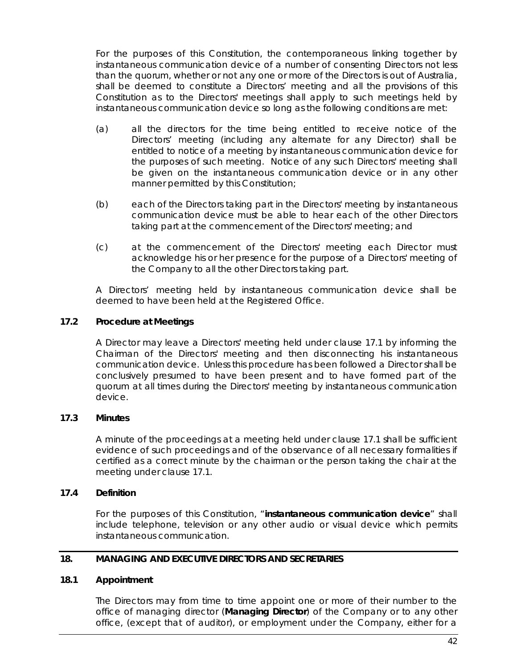For the purposes of this Constitution, the contemporaneous linking together by instantaneous communication device of a number of consenting Directors not less than the quorum, whether or not any one or more of the Directors is out of Australia, shall be deemed to constitute a Directors' meeting and all the provisions of this Constitution as to the Directors' meetings shall apply to such meetings held by instantaneous communication device so long as the following conditions are met:

- (a) all the directors for the time being entitled to receive notice of the Directors' meeting (including any alternate for any Director) shall be entitled to notice of a meeting by instantaneous communication device for the purposes of such meeting. Notice of any such Directors' meeting shall be given on the instantaneous communication device or in any other manner permitted by this Constitution;
- (b) each of the Directors taking part in the Directors' meeting by instantaneous communication device must be able to hear each of the other Directors taking part at the commencement of the Directors' meeting; and
- (c) at the commencement of the Directors' meeting each Director must acknowledge his or her presence for the purpose of a Directors' meeting of the Company to all the other Directors taking part.

A Directors' meeting held by instantaneous communication device shall be deemed to have been held at the Registered Office.

## **17.2 Procedure at Meetings**

A Director may leave a Directors' meeting held under clause [17.1](#page-47-0) by informing the Chairman of the Directors' meeting and then disconnecting his instantaneous communication device. Unless this procedure has been followed a Director shall be conclusively presumed to have been present and to have formed part of the quorum at all times during the Directors' meeting by instantaneous communication device.

# **17.3 Minutes**

A minute of the proceedings at a meeting held under clause [17.1](#page-47-0) shall be sufficient evidence of such proceedings and of the observance of all necessary formalities if certified as a correct minute by the chairman or the person taking the chair at the meeting under clause [17.1.](#page-47-0)

## **17.4 Definition**

For the purposes of this Constitution, "**instantaneous communication device**" shall include telephone, television or any other audio or visual device which permits instantaneous communication.

#### **18. MANAGING AND EXECUTIVE DIRECTORS AND SECRETARIES**

#### **18.1 Appointment**

The Directors may from time to time appoint one or more of their number to the office of managing director (**Managing Director**) of the Company or to any other office, (except that of auditor), or employment under the Company, either for a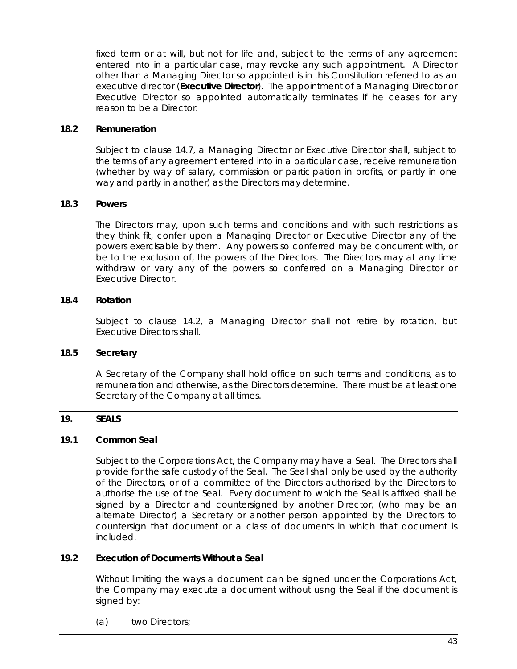fixed term or at will, but not for life and, subject to the terms of any agreement entered into in a particular case, may revoke any such appointment. A Director other than a Managing Director so appointed is in this Constitution referred to as an executive director (**Executive Director**). The appointment of a Managing Director or Executive Director so appointed automatically terminates if he ceases for any reason to be a Director.

## **18.2 Remuneration**

Subject to clause [14.7,](#page-41-1) a Managing Director or Executive Director shall, subject to the terms of any agreement entered into in a particular case, receive remuneration (whether by way of salary, commission or participation in profits, or partly in one way and partly in another) as the Directors may determine.

## **18.3 Powers**

The Directors may, upon such terms and conditions and with such restrictions as they think fit, confer upon a Managing Director or Executive Director any of the powers exercisable by them. Any powers so conferred may be concurrent with, or be to the exclusion of, the powers of the Directors. The Directors may at any time withdraw or vary any of the powers so conferred on a Managing Director or Executive Director.

## <span id="page-49-0"></span>**18.4 Rotation**

Subject to clause [14.2,](#page-39-2) a Managing Director shall not retire by rotation, but Executive Directors shall.

# **18.5 Secretary**

A Secretary of the Company shall hold office on such terms and conditions, as to remuneration and otherwise, as the Directors determine. There must be at least one Secretary of the Company at all times.

# **19. SEALS**

#### <span id="page-49-1"></span>**19.1 Common Seal**

Subject to the Corporations Act, the Company may have a Seal. The Directors shall provide for the safe custody of the Seal. The Seal shall only be used by the authority of the Directors, or of a committee of the Directors authorised by the Directors to authorise the use of the Seal. Every document to which the Seal is affixed shall be signed by a Director and countersigned by another Director, (who may be an alternate Director) a Secretary or another person appointed by the Directors to countersign that document or a class of documents in which that document is included.

# **19.2 Execution of Documents Without a Seal**

Without limiting the ways a document can be signed under the Corporations Act, the Company may execute a document without using the Seal if the document is signed by:

(a) two Directors;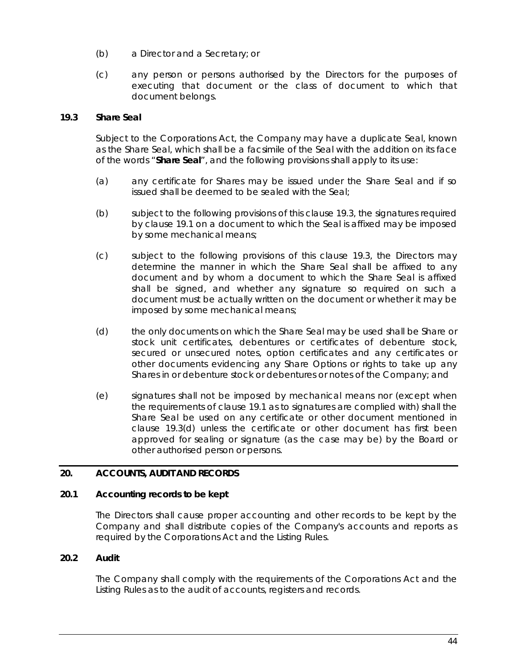- (b) a Director and a Secretary; or
- (c) any person or persons authorised by the Directors for the purposes of executing that document or the class of document to which that document belongs.

# <span id="page-50-0"></span>**19.3 Share Seal**

Subject to the Corporations Act, the Company may have a duplicate Seal, known as the Share Seal, which shall be a facsimile of the Seal with the addition on its face of the words "**Share Seal**", and the following provisions shall apply to its use:

- (a) any certificate for Shares may be issued under the Share Seal and if so issued shall be deemed to be sealed with the Seal;
- (b) subject to the following provisions of this clause [19.3,](#page-50-0) the signatures required by clause [19.1](#page-49-1) on a document to which the Seal is affixed may be imposed by some mechanical means;
- (c) subject to the following provisions of this clause [19.3,](#page-50-0) the Directors may determine the manner in which the Share Seal shall be affixed to any document and by whom a document to which the Share Seal is affixed shall be signed, and whether any signature so required on such a document must be actually written on the document or whether it may be imposed by some mechanical means;
- <span id="page-50-1"></span>(d) the only documents on which the Share Seal may be used shall be Share or stock unit certificates, debentures or certificates of debenture stock, secured or unsecured notes, option certificates and any certificates or other documents evidencing any Share Options or rights to take up any Shares in or debenture stock or debentures or notes of the Company; and
- (e) signatures shall not be imposed by mechanical means nor (except when the requirements of clause [19.1](#page-49-1) as to signatures are complied with) shall the Share Seal be used on any certificate or other document mentioned in clause [19.3\(d\)](#page-50-1) unless the certificate or other document has first been approved for sealing or signature (as the case may be) by the Board or other authorised person or persons.

# **20. ACCOUNTS, AUDIT AND RECORDS**

# **20.1 Accounting records to be kept**

The Directors shall cause proper accounting and other records to be kept by the Company and shall distribute copies of the Company's accounts and reports as required by the Corporations Act and the Listing Rules.

# **20.2 Audit**

The Company shall comply with the requirements of the Corporations Act and the Listing Rules as to the audit of accounts, registers and records.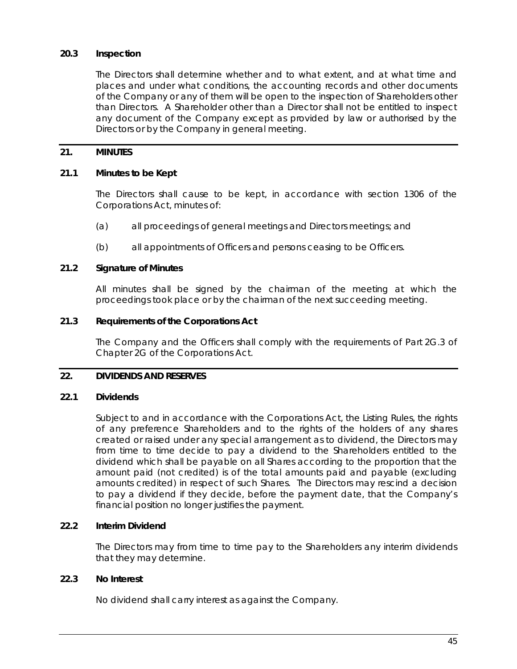# **20.3 Inspection**

The Directors shall determine whether and to what extent, and at what time and places and under what conditions, the accounting records and other documents of the Company or any of them will be open to the inspection of Shareholders other than Directors. A Shareholder other than a Director shall not be entitled to inspect any document of the Company except as provided by law or authorised by the Directors or by the Company in general meeting.

# **21. MINUTES**

## **21.1 Minutes to be Kept**

The Directors shall cause to be kept, in accordance with section 1306 of the Corporations Act, minutes of:

- (a) all proceedings of general meetings and Directors meetings; and
- (b) all appointments of Officers and persons ceasing to be Officers.

#### **21.2 Signature of Minutes**

All minutes shall be signed by the chairman of the meeting at which the proceedings took place or by the chairman of the next succeeding meeting.

## **21.3 Requirements of the Corporations Act**

The Company and the Officers shall comply with the requirements of Part 2G.3 of Chapter 2G of the Corporations Act.

# <span id="page-51-0"></span>**22. DIVIDENDS AND RESERVES**

#### **22.1 Dividends**

Subject to and in accordance with the Corporations Act, the Listing Rules, the rights of any preference Shareholders and to the rights of the holders of any shares created or raised under any special arrangement as to dividend, the Directors may from time to time decide to pay a dividend to the Shareholders entitled to the dividend which shall be payable on all Shares according to the proportion that the amount paid (not credited) is of the total amounts paid and payable (excluding amounts credited) in respect of such Shares. The Directors may rescind a decision to pay a dividend if they decide, before the payment date, that the Company's financial position no longer justifies the payment.

#### **22.2 Interim Dividend**

The Directors may from time to time pay to the Shareholders any interim dividends that they may determine.

# **22.3 No Interest**

No dividend shall carry interest as against the Company.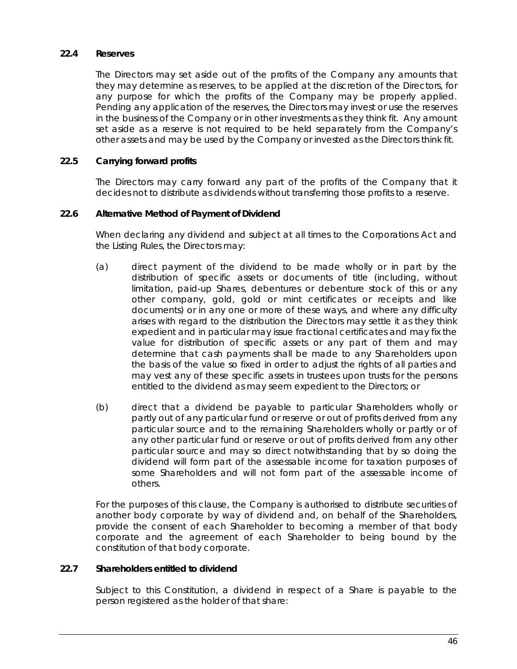## **22.4 Reserves**

The Directors may set aside out of the profits of the Company any amounts that they may determine as reserves, to be applied at the discretion of the Directors, for any purpose for which the profits of the Company may be properly applied. Pending any application of the reserves, the Directors may invest or use the reserves in the business of the Company or in other investments as they think fit. Any amount set aside as a reserve is not required to be held separately from the Company's other assets and may be used by the Company or invested as the Directors think fit.

## **22.5 Carrying forward profits**

The Directors may carry forward any part of the profits of the Company that it decides not to distribute as dividends without transferring those profits to a reserve.

#### **22.6 Alternative Method of Payment of Dividend**

When declaring any dividend and subject at all times to the Corporations Act and the Listing Rules, the Directors may:

- (a) direct payment of the dividend to be made wholly or in part by the distribution of specific assets or documents of title (including, without limitation, paid-up Shares, debentures or debenture stock of this or any other company, gold, gold or mint certificates or receipts and like documents) or in any one or more of these ways, and where any difficulty arises with regard to the distribution the Directors may settle it as they think expedient and in particular may issue fractional certificates and may fix the value for distribution of specific assets or any part of them and may determine that cash payments shall be made to any Shareholders upon the basis of the value so fixed in order to adjust the rights of all parties and may vest any of these specific assets in trustees upon trusts for the persons entitled to the dividend as may seem expedient to the Directors; or
- (b) direct that a dividend be payable to particular Shareholders wholly or partly out of any particular fund or reserve or out of profits derived from any particular source and to the remaining Shareholders wholly or partly or of any other particular fund or reserve or out of profits derived from any other particular source and may so direct notwithstanding that by so doing the dividend will form part of the assessable income for taxation purposes of some Shareholders and will not form part of the assessable income of others.

For the purposes of this clause, the Company is authorised to distribute securities of another body corporate by way of dividend and, on behalf of the Shareholders, provide the consent of each Shareholder to becoming a member of that body corporate and the agreement of each Shareholder to being bound by the constitution of that body corporate.

# **22.7 Shareholders entitled to dividend**

Subject to this Constitution, a dividend in respect of a Share is payable to the person registered as the holder of that share: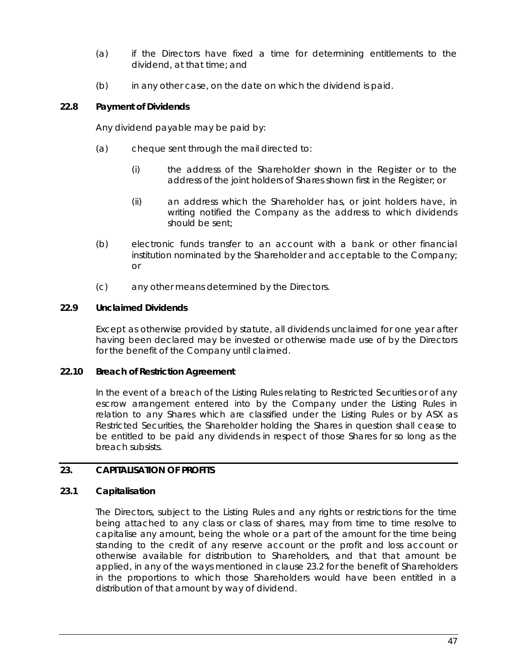- (a) if the Directors have fixed a time for determining entitlements to the dividend, at that time; and
- (b) in any other case, on the date on which the dividend is paid.

## **22.8 Payment of Dividends**

Any dividend payable may be paid by:

- (a) cheque sent through the mail directed to:
	- (i) the address of the Shareholder shown in the Register or to the address of the joint holders of Shares shown first in the Register; or
	- (ii) an address which the Shareholder has, or joint holders have, in writing notified the Company as the address to which dividends should be sent;
- (b) electronic funds transfer to an account with a bank or other financial institution nominated by the Shareholder and acceptable to the Company; or
- (c) any other means determined by the Directors.

## **22.9 Unclaimed Dividends**

Except as otherwise provided by statute, all dividends unclaimed for one year after having been declared may be invested or otherwise made use of by the Directors for the benefit of the Company until claimed.

#### **22.10 Breach of Restriction Agreement**

In the event of a breach of the Listing Rules relating to Restricted Securities or of any escrow arrangement entered into by the Company under the Listing Rules in relation to any Shares which are classified under the Listing Rules or by ASX as Restricted Securities, the Shareholder holding the Shares in question shall cease to be entitled to be paid any dividends in respect of those Shares for so long as the breach subsists.

#### **23. CAPITALISATION OF PROFITS**

#### <span id="page-53-0"></span>**23.1 Capitalisation**

The Directors, subject to the Listing Rules and any rights or restrictions for the time being attached to any class or class of shares, may from time to time resolve to capitalise any amount, being the whole or a part of the amount for the time being standing to the credit of any reserve account or the profit and loss account or otherwise available for distribution to Shareholders, and that that amount be applied, in any of the ways mentioned in clause [23.2](#page-54-1) for the benefit of Shareholders in the proportions to which those Shareholders would have been entitled in a distribution of that amount by way of dividend.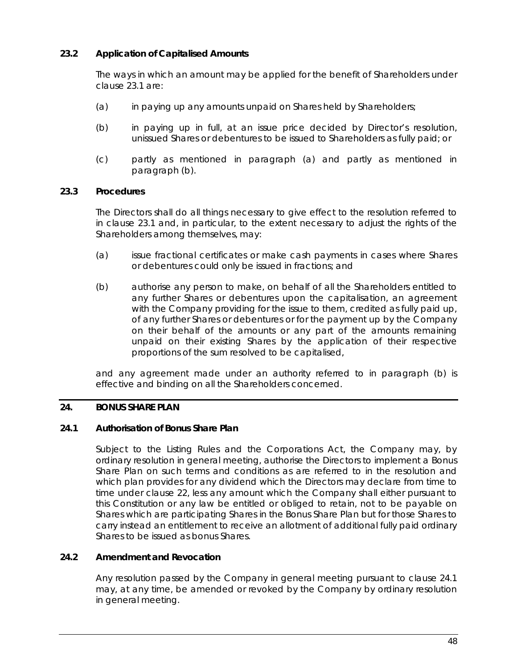# <span id="page-54-1"></span>**23.2 Application of Capitalised Amounts**

The ways in which an amount may be applied for the benefit of Shareholders under claus[e 23.1](#page-53-0) are:

- <span id="page-54-2"></span>(a) in paying up any amounts unpaid on Shares held by Shareholders;
- <span id="page-54-3"></span>(b) in paying up in full, at an issue price decided by Director's resolution, unissued Shares or debentures to be issued to Shareholders as fully paid; or
- (c) partly as mentioned in paragraph [\(a\)](#page-54-2) and partly as mentioned in paragraph [\(b\).](#page-54-3)

## **23.3 Procedures**

The Directors shall do all things necessary to give effect to the resolution referred to in clause [23.1](#page-53-0) and, in particular, to the extent necessary to adjust the rights of the Shareholders among themselves, may:

- (a) issue fractional certificates or make cash payments in cases where Shares or debentures could only be issued in fractions; and
- <span id="page-54-4"></span>(b) authorise any person to make, on behalf of all the Shareholders entitled to any further Shares or debentures upon the capitalisation, an agreement with the Company providing for the issue to them, credited as fully paid up, of any further Shares or debentures or for the payment up by the Company on their behalf of the amounts or any part of the amounts remaining unpaid on their existing Shares by the application of their respective proportions of the sum resolved to be capitalised,

and any agreement made under an authority referred to in paragraph [\(b\)](#page-54-4) is effective and binding on all the Shareholders concerned.

# <span id="page-54-0"></span>**24. BONUS SHARE PLAN**

#### <span id="page-54-5"></span>**24.1 Authorisation of Bonus Share Plan**

Subject to the Listing Rules and the Corporations Act, the Company may, by ordinary resolution in general meeting, authorise the Directors to implement a Bonus Share Plan on such terms and conditions as are referred to in the resolution and which plan provides for any dividend which the Directors may declare from time to time under clause [22,](#page-51-0) less any amount which the Company shall either pursuant to this Constitution or any law be entitled or obliged to retain, not to be payable on Shares which are participating Shares in the Bonus Share Plan but for those Shares to carry instead an entitlement to receive an allotment of additional fully paid ordinary Shares to be issued as bonus Shares.

# **24.2 Amendment and Revocation**

Any resolution passed by the Company in general meeting pursuant to clause [24.1](#page-54-5) may, at any time, be amended or revoked by the Company by ordinary resolution in general meeting.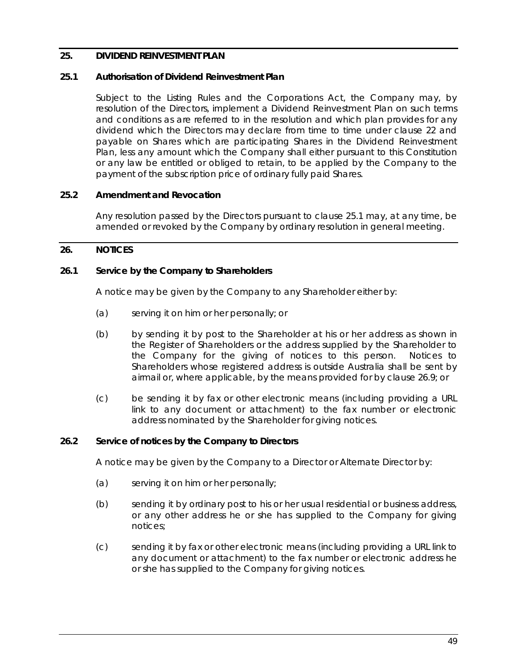# <span id="page-55-0"></span>**25. DIVIDEND REINVESTMENT PLAN**

## <span id="page-55-2"></span>**25.1 Authorisation of Dividend Reinvestment Plan**

Subject to the Listing Rules and the Corporations Act, the Company may, by resolution of the Directors, implement a Dividend Reinvestment Plan on such terms and conditions as are referred to in the resolution and which plan provides for any dividend which the Directors may declare from time to time under clause [22](#page-51-0) and payable on Shares which are participating Shares in the Dividend Reinvestment Plan, less any amount which the Company shall either pursuant to this Constitution or any law be entitled or obliged to retain, to be applied by the Company to the payment of the subscription price of ordinary fully paid Shares.

## **25.2 Amendment and Revocation**

Any resolution passed by the Directors pursuant to clause [25.1](#page-55-2) may, at any time, be amended or revoked by the Company by ordinary resolution in general meeting.

## <span id="page-55-1"></span>**26. NOTICES**

## **26.1 Service by the Company to Shareholders**

A notice may be given by the Company to any Shareholder either by:

- (a) serving it on him or her personally; or
- (b) by sending it by post to the Shareholder at his or her address as shown in the Register of Shareholders or the address supplied by the Shareholder to the Company for the giving of notices to this person. Notices to Shareholders whose registered address is outside Australia shall be sent by airmail or, where applicable, by the means provided for by clause [26.9;](#page-57-0) or
- (c) be sending it by fax or other electronic means (including providing a URL link to any document or attachment) to the fax number or electronic address nominated by the Shareholder for giving notices.

#### **26.2 Service of notices by the Company to Directors**

A notice may be given by the Company to a Director or Alternate Director by:

- (a) serving it on him or her personally;
- (b) sending it by ordinary post to his or her usual residential or business address, or any other address he or she has supplied to the Company for giving notices;
- (c) sending it by fax or other electronic means (including providing a URL link to any document or attachment) to the fax number or electronic address he or she has supplied to the Company for giving notices.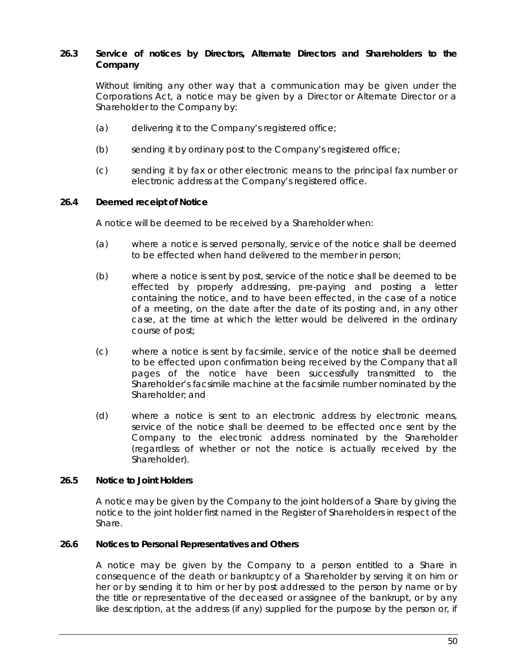# **26.3 Service of notices by Directors, Alternate Directors and Shareholders to the Company**

Without limiting any other way that a communication may be given under the Corporations Act, a notice may be given by a Director or Alternate Director or a Shareholder to the Company by:

- (a) delivering it to the Company's registered office;
- (b) sending it by ordinary post to the Company's registered office;
- (c) sending it by fax or other electronic means to the principal fax number or electronic address at the Company's registered office.

## **26.4 Deemed receipt of Notice**

A notice will be deemed to be received by a Shareholder when:

- (a) where a notice is served personally, service of the notice shall be deemed to be effected when hand delivered to the member in person;
- (b) where a notice is sent by post, service of the notice shall be deemed to be effected by properly addressing, pre-paying and posting a letter containing the notice, and to have been effected, in the case of a notice of a meeting, on the date after the date of its posting and, in any other case, at the time at which the letter would be delivered in the ordinary course of post;
- (c) where a notice is sent by facsimile, service of the notice shall be deemed to be effected upon confirmation being received by the Company that all pages of the notice have been successfully transmitted to the Shareholder's facsimile machine at the facsimile number nominated by the Shareholder; and
- (d) where a notice is sent to an electronic address by electronic means, service of the notice shall be deemed to be effected once sent by the Company to the electronic address nominated by the Shareholder (regardless of whether or not the notice is actually received by the Shareholder).

#### **26.5 Notice to Joint Holders**

A notice may be given by the Company to the joint holders of a Share by giving the notice to the joint holder first named in the Register of Shareholders in respect of the Share.

#### **26.6 Notices to Personal Representatives and Others**

A notice may be given by the Company to a person entitled to a Share in consequence of the death or bankruptcy of a Shareholder by serving it on him or her or by sending it to him or her by post addressed to the person by name or by the title or representative of the deceased or assignee of the bankrupt, or by any like description, at the address (if any) supplied for the purpose by the person or, if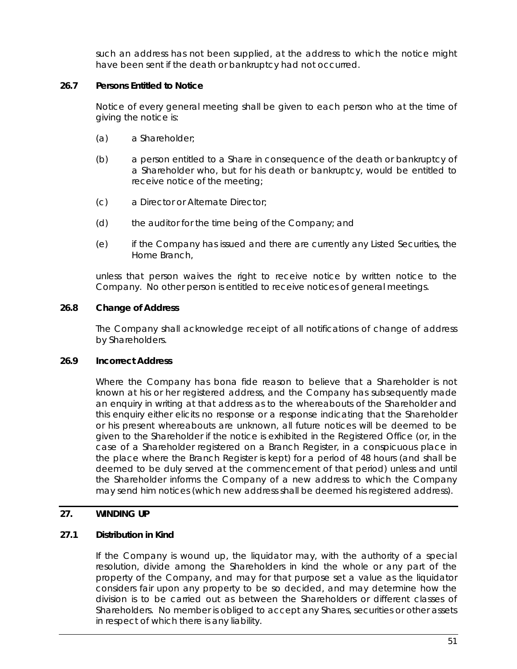such an address has not been supplied, at the address to which the notice might have been sent if the death or bankruptcy had not occurred.

# **26.7 Persons Entitled to Notice**

Notice of every general meeting shall be given to each person who at the time of giving the notice is:

- (a) a Shareholder;
- (b) a person entitled to a Share in consequence of the death or bankruptcy of a Shareholder who, but for his death or bankruptcy, would be entitled to receive notice of the meeting;
- (c) a Director or Alternate Director;
- (d) the auditor for the time being of the Company; and
- (e) if the Company has issued and there are currently any Listed Securities, the Home Branch,

unless that person waives the right to receive notice by written notice to the Company. No other person is entitled to receive notices of general meetings.

# **26.8 Change of Address**

The Company shall acknowledge receipt of all notifications of change of address by Shareholders.

# <span id="page-57-0"></span>**26.9 Incorrect Address**

Where the Company has bona fide reason to believe that a Shareholder is not known at his or her registered address, and the Company has subsequently made an enquiry in writing at that address as to the whereabouts of the Shareholder and this enquiry either elicits no response or a response indicating that the Shareholder or his present whereabouts are unknown, all future notices will be deemed to be given to the Shareholder if the notice is exhibited in the Registered Office (or, in the case of a Shareholder registered on a Branch Register, in a conspicuous place in the place where the Branch Register is kept) for a period of 48 hours (and shall be deemed to be duly served at the commencement of that period) unless and until the Shareholder informs the Company of a new address to which the Company may send him notices (which new address shall be deemed his registered address).

# **27. WINDING UP**

# **27.1 Distribution in Kind**

If the Company is wound up, the liquidator may, with the authority of a special resolution, divide among the Shareholders in kind the whole or any part of the property of the Company, and may for that purpose set a value as the liquidator considers fair upon any property to be so decided, and may determine how the division is to be carried out as between the Shareholders or different classes of Shareholders. No member is obliged to accept any Shares, securities or other assets in respect of which there is any liability.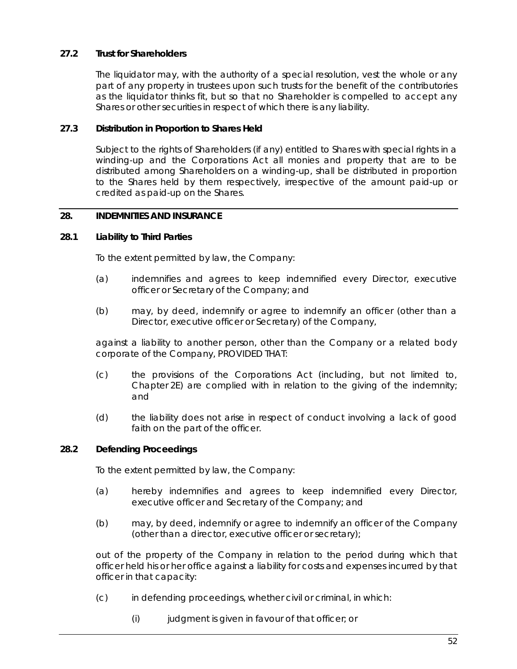# **27.2 Trust for Shareholders**

The liquidator may, with the authority of a special resolution, vest the whole or any part of any property in trustees upon such trusts for the benefit of the contributories as the liquidator thinks fit, but so that no Shareholder is compelled to accept any Shares or other securities in respect of which there is any liability.

## **27.3 Distribution in Proportion to Shares Held**

Subject to the rights of Shareholders (if any) entitled to Shares with special rights in a winding-up and the Corporations Act all monies and property that are to be distributed among Shareholders on a winding-up, shall be distributed in proportion to the Shares held by them respectively, irrespective of the amount paid-up or credited as paid-up on the Shares.

# <span id="page-58-1"></span>**28. INDEMNITIES AND INSURANCE**

## **28.1 Liability to Third Parties**

To the extent permitted by law, the Company:

- (a) indemnifies and agrees to keep indemnified every Director, executive officer or Secretary of the Company; and
- (b) may, by deed, indemnify or agree to indemnify an officer (other than a Director, executive officer or Secretary) of the Company,

against a liability to another person, other than the Company or a related body corporate of the Company, PROVIDED THAT:

- (c) the provisions of the Corporations Act (including, but not limited to, Chapter 2E) are complied with in relation to the giving of the indemnity; and
- (d) the liability does not arise in respect of conduct involving a lack of good faith on the part of the officer.

#### **28.2 Defending Proceedings**

To the extent permitted by law, the Company:

- (a) hereby indemnifies and agrees to keep indemnified every Director, executive officer and Secretary of the Company; and
- (b) may, by deed, indemnify or agree to indemnify an officer of the Company (other than a director, executive officer or secretary);

out of the property of the Company in relation to the period during which that officer held his or her office against a liability for costs and expenses incurred by that officer in that capacity:

- <span id="page-58-0"></span>(c) in defending proceedings, whether civil or criminal, in which:
	- $(i)$  judgment is given in favour of that officer; or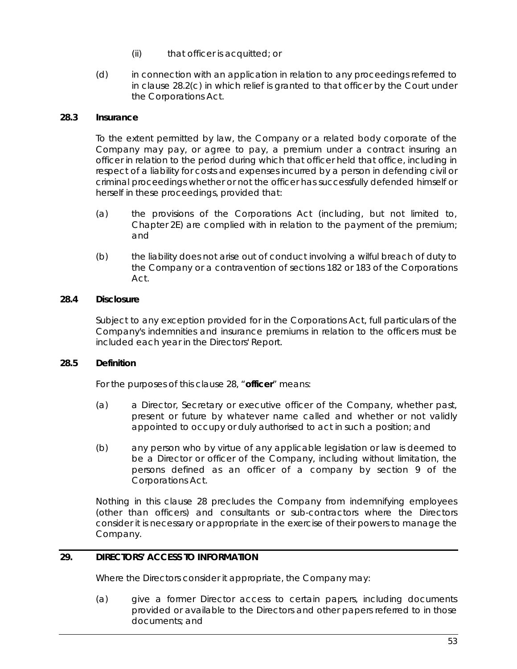- (ii) that officer is acquitted; or
- (d) in connection with an application in relation to any proceedings referred to in clause [28.2\(c\)](#page-58-0) in which relief is granted to that officer by the Court under the Corporations Act.

# **28.3 Insurance**

To the extent permitted by law, the Company or a related body corporate of the Company may pay, or agree to pay, a premium under a contract insuring an officer in relation to the period during which that officer held that office, including in respect of a liability for costs and expenses incurred by a person in defending civil or criminal proceedings whether or not the officer has successfully defended himself or herself in these proceedings, provided that:

- (a) the provisions of the Corporations Act (including, but not limited to, Chapter 2E) are complied with in relation to the payment of the premium; and
- (b) the liability does not arise out of conduct involving a wilful breach of duty to the Company or a contravention of sections 182 or 183 of the Corporations Act.

# **28.4 Disclosure**

Subject to any exception provided for in the Corporations Act, full particulars of the Company's indemnities and insurance premiums in relation to the officers must be included each year in the Directors' Report.

# **28.5 Definition**

For the purposes of this clause [28,](#page-58-1) "**officer**" means:

- (a) a Director, Secretary or executive officer of the Company, whether past, present or future by whatever name called and whether or not validly appointed to occupy or duly authorised to act in such a position; and
- (b) any person who by virtue of any applicable legislation or law is deemed to be a Director or officer of the Company, including without limitation, the persons defined as an officer of a company by section 9 of the Corporations Act.

Nothing in this clause [28](#page-58-1) precludes the Company from indemnifying employees (other than officers) and consultants or sub-contractors where the Directors consider it is necessary or appropriate in the exercise of their powers to manage the Company.

# **29. DIRECTORS' ACCESS TO INFORMATION**

Where the Directors consider it appropriate, the Company may:

(a) give a former Director access to certain papers, including documents provided or available to the Directors and other papers referred to in those documents; and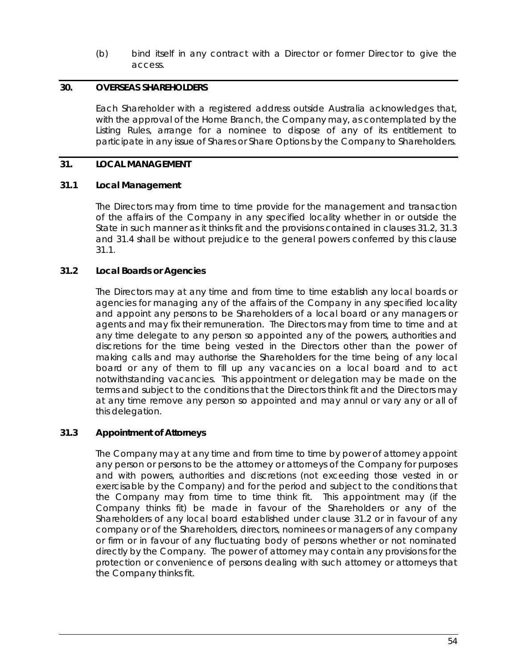(b) bind itself in any contract with a Director or former Director to give the access.

## **30. OVERSEAS SHAREHOLDERS**

Each Shareholder with a registered address outside Australia acknowledges that, with the approval of the Home Branch, the Company may, as contemplated by the Listing Rules, arrange for a nominee to dispose of any of its entitlement to participate in any issue of Shares or Share Options by the Company to Shareholders.

## **31. LOCAL MANAGEMENT**

## <span id="page-60-2"></span>**31.1 Local Management**

The Directors may from time to time provide for the management and transaction of the affairs of the Company in any specified locality whether in or outside the State in such manner as it thinks fit and the provisions contained in clauses [31.2,](#page-60-0) [31.3](#page-60-1) and [31.4](#page-61-1) shall be without prejudice to the general powers conferred by this clause [31.1.](#page-60-2)

## <span id="page-60-0"></span>**31.2 Local Boards or Agencies**

The Directors may at any time and from time to time establish any local boards or agencies for managing any of the affairs of the Company in any specified locality and appoint any persons to be Shareholders of a local board or any managers or agents and may fix their remuneration. The Directors may from time to time and at any time delegate to any person so appointed any of the powers, authorities and discretions for the time being vested in the Directors other than the power of making calls and may authorise the Shareholders for the time being of any local board or any of them to fill up any vacancies on a local board and to act notwithstanding vacancies. This appointment or delegation may be made on the terms and subject to the conditions that the Directors think fit and the Directors may at any time remove any person so appointed and may annul or vary any or all of this delegation.

#### <span id="page-60-1"></span>**31.3 Appointment of Attorneys**

The Company may at any time and from time to time by power of attorney appoint any person or persons to be the attorney or attorneys of the Company for purposes and with powers, authorities and discretions (not exceeding those vested in or exercisable by the Company) and for the period and subject to the conditions that the Company may from time to time think fit. This appointment may (if the Company thinks fit) be made in favour of the Shareholders or any of the Shareholders of any local board established under clause [31.2](#page-60-0) or in favour of any company or of the Shareholders, directors, nominees or managers of any company or firm or in favour of any fluctuating body of persons whether or not nominated directly by the Company. The power of attorney may contain any provisions for the protection or convenience of persons dealing with such attorney or attorneys that the Company thinks fit.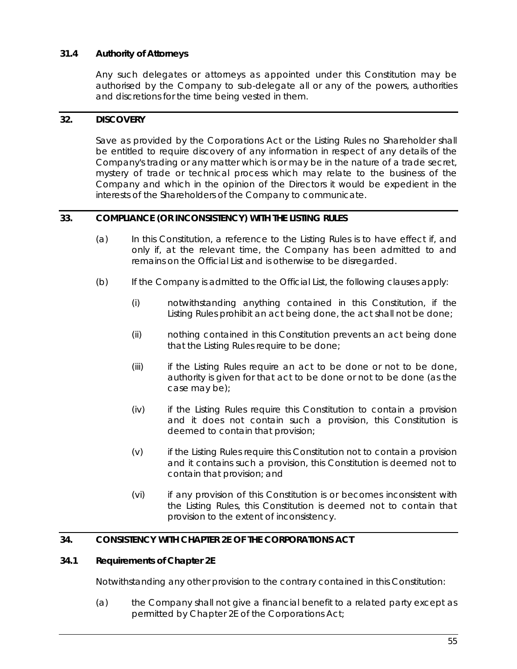# <span id="page-61-1"></span>**31.4 Authority of Attorneys**

Any such delegates or attorneys as appointed under this Constitution may be authorised by the Company to sub-delegate all or any of the powers, authorities and discretions for the time being vested in them.

## **32. DISCOVERY**

Save as provided by the Corporations Act or the Listing Rules no Shareholder shall be entitled to require discovery of any information in respect of any details of the Company's trading or any matter which is or may be in the nature of a trade secret, mystery of trade or technical process which may relate to the business of the Company and which in the opinion of the Directors it would be expedient in the interests of the Shareholders of the Company to communicate.

## <span id="page-61-0"></span>**33. COMPLIANCE (OR INCONSISTENCY) WITH THE LISTING RULES**

- (a) In this Constitution, a reference to the Listing Rules is to have effect if, and only if, at the relevant time, the Company has been admitted to and remains on the Official List and is otherwise to be disregarded.
- (b) If the Company is admitted to the Official List, the following clauses apply:
	- (i) notwithstanding anything contained in this Constitution, if the Listing Rules prohibit an act being done, the act shall not be done;
	- (ii) nothing contained in this Constitution prevents an act being done that the Listing Rules require to be done;
	- (iii) if the Listing Rules require an act to be done or not to be done, authority is given for that act to be done or not to be done (as the case may be);
	- (iv) if the Listing Rules require this Constitution to contain a provision and it does not contain such a provision, this Constitution is deemed to contain that provision;
	- (v) if the Listing Rules require this Constitution not to contain a provision and it contains such a provision, this Constitution is deemed not to contain that provision; and
	- (vi) if any provision of this Constitution is or becomes inconsistent with the Listing Rules, this Constitution is deemed not to contain that provision to the extent of inconsistency.

# <span id="page-61-2"></span>**34. CONSISTENCY WITH CHAPTER 2E OF THE CORPORATIONS ACT**

#### **34.1 Requirements of Chapter 2E**

Notwithstanding any other provision to the contrary contained in this Constitution:

(a) the Company shall not give a financial benefit to a related party except as permitted by Chapter 2E of the Corporations Act;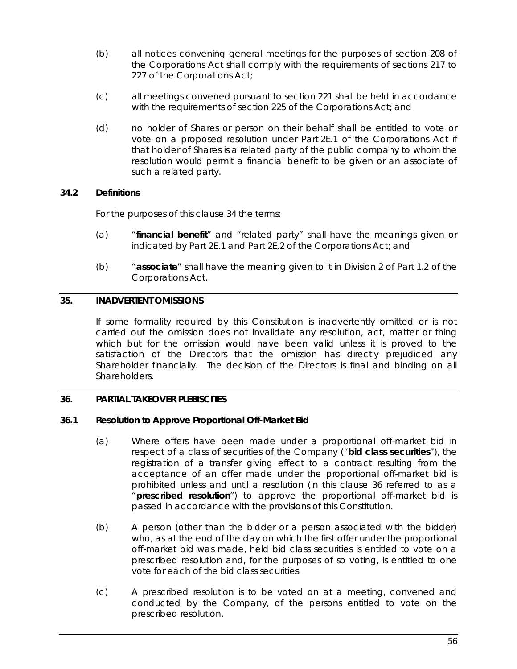- (b) all notices convening general meetings for the purposes of section 208 of the Corporations Act shall comply with the requirements of sections 217 to 227 of the Corporations Act;
- (c) all meetings convened pursuant to section 221 shall be held in accordance with the requirements of section 225 of the Corporations Act; and
- (d) no holder of Shares or person on their behalf shall be entitled to vote or vote on a proposed resolution under Part 2E.1 of the Corporations Act if that holder of Shares is a related party of the public company to whom the resolution would permit a financial benefit to be given or an associate of such a related party.

# **34.2 Definitions**

For the purposes of this clause [34](#page-61-2) the terms:

- (a) "**financial benefit**" and "related party" shall have the meanings given or indicated by Part 2E.1 and Part 2E.2 of the Corporations Act; and
- (b) "**associate**" shall have the meaning given to it in Division 2 of Part 1.2 of the Corporations Act.

# **35. INADVERTENT OMISSIONS**

If some formality required by this Constitution is inadvertently omitted or is not carried out the omission does not invalidate any resolution, act, matter or thing which but for the omission would have been valid unless it is proved to the satisfaction of the Directors that the omission has directly prejudiced any Shareholder financially. The decision of the Directors is final and binding on all Shareholders.

# <span id="page-62-0"></span>**36. PARTIAL TAKEOVER PLEBISCITES**

# **36.1 Resolution to Approve Proportional Off-Market Bid**

- (a) Where offers have been made under a proportional off-market bid in respect of a class of securities of the Company ("**bid class securities**"), the registration of a transfer giving effect to a contract resulting from the acceptance of an offer made under the proportional off-market bid is prohibited unless and until a resolution (in this clause [36](#page-62-0) referred to as a "**prescribed resolution**") to approve the proportional off-market bid is passed in accordance with the provisions of this Constitution.
- (b) A person (other than the bidder or a person associated with the bidder) who, as at the end of the day on which the first offer under the proportional off-market bid was made, held bid class securities is entitled to vote on a prescribed resolution and, for the purposes of so voting, is entitled to one vote for each of the bid class securities.
- (c) A prescribed resolution is to be voted on at a meeting, convened and conducted by the Company, of the persons entitled to vote on the prescribed resolution.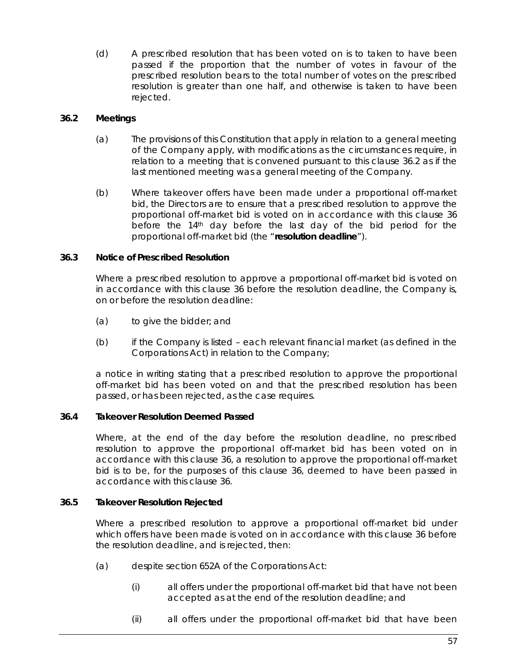(d) A prescribed resolution that has been voted on is to taken to have been passed if the proportion that the number of votes in favour of the prescribed resolution bears to the total number of votes on the prescribed resolution is greater than one half, and otherwise is taken to have been rejected.

# <span id="page-63-0"></span>**36.2 Meetings**

- (a) The provisions of this Constitution that apply in relation to a general meeting of the Company apply, with modifications as the circumstances require, in relation to a meeting that is convened pursuant to this clause [36.2](#page-63-0) as if the last mentioned meeting was a general meeting of the Company.
- (b) Where takeover offers have been made under a proportional off-market bid, the Directors are to ensure that a prescribed resolution to approve the proportional off-market bid is voted on in accordance with this clause [36](#page-62-0) before the  $14<sup>th</sup>$  day before the last day of the bid period for the proportional off-market bid (the "**resolution deadline**").

# **36.3 Notice of Prescribed Resolution**

Where a prescribed resolution to approve a proportional off-market bid is voted on in accordance with this clause [36](#page-62-0) before the resolution deadline, the Company is, on or before the resolution deadline:

- (a) to give the bidder; and
- (b) if the Company is listed each relevant financial market (as defined in the Corporations Act) in relation to the Company;

a notice in writing stating that a prescribed resolution to approve the proportional off-market bid has been voted on and that the prescribed resolution has been passed, or has been rejected, as the case requires.

# **36.4 Takeover Resolution Deemed Passed**

Where, at the end of the day before the resolution deadline, no prescribed resolution to approve the proportional off-market bid has been voted on in accordance with this clause [36,](#page-62-0) a resolution to approve the proportional off-market bid is to be, for the purposes of this clause [36,](#page-62-0) deemed to have been passed in accordance with this clause [36.](#page-62-0)

# **36.5 Takeover Resolution Rejected**

Where a prescribed resolution to approve a proportional off-market bid under which offers have been made is voted on in accordance with this clause [36](#page-62-0) before the resolution deadline, and is rejected, then:

- <span id="page-63-1"></span>(a) despite section 652A of the Corporations Act:
	- (i) all offers under the proportional off-market bid that have not been accepted as at the end of the resolution deadline; and
	- (ii) all offers under the proportional off-market bid that have been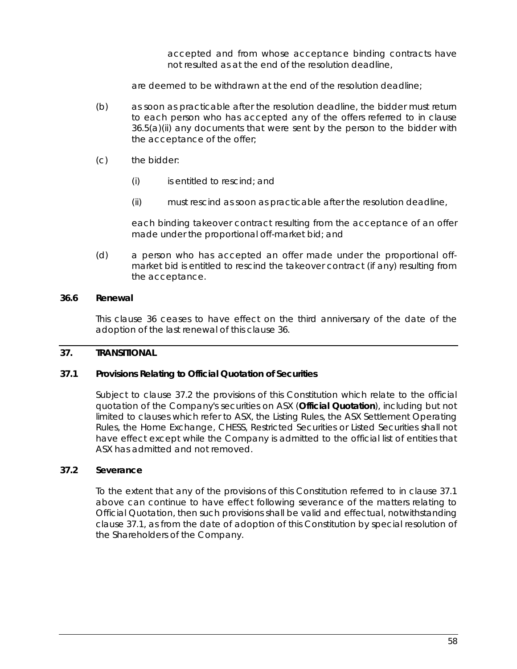accepted and from whose acceptance binding contracts have not resulted as at the end of the resolution deadline,

are deemed to be withdrawn at the end of the resolution deadline;

- (b) as soon as practicable after the resolution deadline, the bidder must return to each person who has accepted any of the offers referred to in clause [36.5\(a\)\(ii\)](#page-63-1) any documents that were sent by the person to the bidder with the acceptance of the offer;
- (c) the bidder:
	- (i) is entitled to rescind; and
	- (ii) must rescind as soon as practicable after the resolution deadline,

each binding takeover contract resulting from the acceptance of an offer made under the proportional off-market bid; and

(d) a person who has accepted an offer made under the proportional offmarket bid is entitled to rescind the takeover contract (if any) resulting from the acceptance.

#### **36.6 Renewal**

This clause [36](#page-62-0) ceases to have effect on the third anniversary of the date of the adoption of the last renewal of this claus[e 36.](#page-62-0)

#### **37. TRANSITIONAL**

## <span id="page-64-1"></span>**37.1 Provisions Relating to Official Quotation of Securities**

Subject to clause [37.2](#page-64-0) the provisions of this Constitution which relate to the official quotation of the Company's securities on ASX (**Official Quotation**), including but not limited to clauses which refer to ASX, the Listing Rules, the ASX Settlement Operating Rules, the Home Exchange, CHESS, Restricted Securities or Listed Securities shall not have effect except while the Company is admitted to the official list of entities that ASX has admitted and not removed.

#### <span id="page-64-0"></span>**37.2 Severance**

To the extent that any of the provisions of this Constitution referred to in clause [37.1](#page-64-1) above can continue to have effect following severance of the matters relating to Official Quotation, then such provisions shall be valid and effectual, notwithstanding clause [37.1,](#page-64-1) as from the date of adoption of this Constitution by special resolution of the Shareholders of the Company.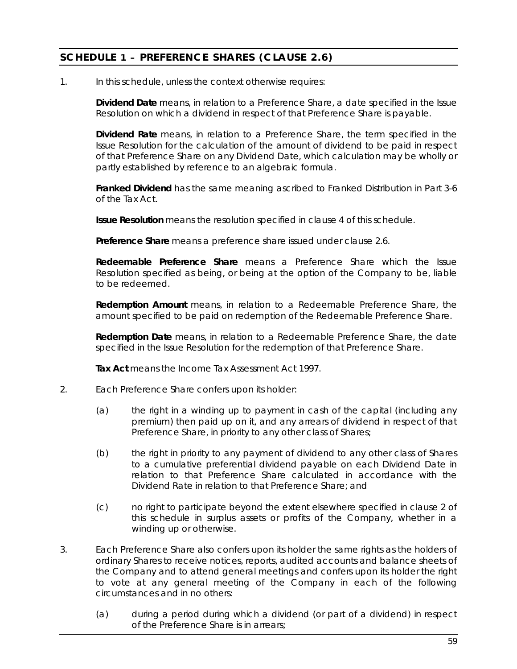# <span id="page-65-0"></span>**SCHEDULE 1 – PREFERENCE SHARES (CLAUSE [2.6\)](#page-12-2)**

1. In this schedule, unless the context otherwise requires:

**Dividend Date** means, in relation to a Preference Share, a date specified in the Issue Resolution on which a dividend in respect of that Preference Share is payable.

**Dividend Rate** means, in relation to a Preference Share, the term specified in the Issue Resolution for the calculation of the amount of dividend to be paid in respect of that Preference Share on any Dividend Date, which calculation may be wholly or partly established by reference to an algebraic formula.

**Franked Dividend** has the same meaning ascribed to Franked Distribution in Part 3-6 of the Tax Act.

**Issue Resolution** means the resolution specified in clause [4](#page-66-0) of this schedule.

**Preference Share** means a preference share issued under clause [2.6.](#page-12-2)

**Redeemable Preference Share** means a Preference Share which the Issue Resolution specified as being, or being at the option of the Company to be, liable to be redeemed.

**Redemption Amount** means, in relation to a Redeemable Preference Share, the amount specified to be paid on redemption of the Redeemable Preference Share.

**Redemption Date** means, in relation to a Redeemable Preference Share, the date specified in the Issue Resolution for the redemption of that Preference Share.

**Tax Act** means the *Income Tax Assessment Act 1997*.

- <span id="page-65-1"></span>2. Each Preference Share confers upon its holder:
	- (a) the right in a winding up to payment in cash of the capital (including any premium) then paid up on it, and any arrears of dividend in respect of that Preference Share, in priority to any other class of Shares;
	- (b) the right in priority to any payment of dividend to any other class of Shares to a cumulative preferential dividend payable on each Dividend Date in relation to that Preference Share calculated in accordance with the Dividend Rate in relation to that Preference Share; and
	- (c) no right to participate beyond the extent elsewhere specified in clause [2](#page-65-1) of this schedule in surplus assets or profits of the Company, whether in a winding up or otherwise.
- <span id="page-65-2"></span>3. Each Preference Share also confers upon its holder the same rights as the holders of ordinary Shares to receive notices, reports, audited accounts and balance sheets of the Company and to attend general meetings and confers upon its holder the right to vote at any general meeting of the Company in each of the following circumstances and in no others:
	- (a) during a period during which a dividend (or part of a dividend) in respect of the Preference Share is in arrears;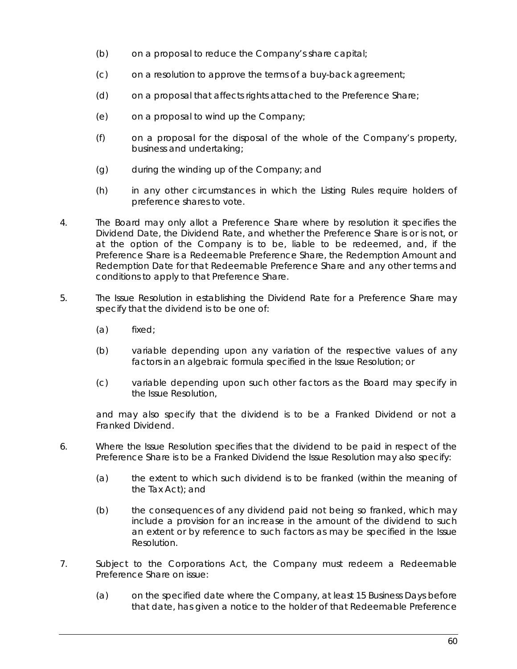- (b) on a proposal to reduce the Company's share capital;
- (c) on a resolution to approve the terms of a buy-back agreement;
- (d) on a proposal that affects rights attached to the Preference Share;
- (e) on a proposal to wind up the Company;
- (f) on a proposal for the disposal of the whole of the Company's property, business and undertaking;
- (g) during the winding up of the Company; and
- (h) in any other circumstances in which the Listing Rules require holders of preference shares to vote.
- <span id="page-66-0"></span>4. The Board may only allot a Preference Share where by resolution it specifies the Dividend Date, the Dividend Rate, and whether the Preference Share is or is not, or at the option of the Company is to be, liable to be redeemed, and, if the Preference Share is a Redeemable Preference Share, the Redemption Amount and Redemption Date for that Redeemable Preference Share and any other terms and conditions to apply to that Preference Share.
- 5. The Issue Resolution in establishing the Dividend Rate for a Preference Share may specify that the dividend is to be one of:
	- (a) fixed;
	- (b) variable depending upon any variation of the respective values of any factors in an algebraic formula specified in the Issue Resolution; or
	- (c) variable depending upon such other factors as the Board may specify in the Issue Resolution,

and may also specify that the dividend is to be a Franked Dividend or not a Franked Dividend.

- 6. Where the Issue Resolution specifies that the dividend to be paid in respect of the Preference Share is to be a Franked Dividend the Issue Resolution may also specify:
	- (a) the extent to which such dividend is to be franked (within the meaning of the Tax Act); and
	- (b) the consequences of any dividend paid not being so franked, which may include a provision for an increase in the amount of the dividend to such an extent or by reference to such factors as may be specified in the Issue Resolution.
- 7. Subject to the Corporations Act, the Company must redeem a Redeemable Preference Share on issue:
	- (a) on the specified date where the Company, at least 15 Business Days before that date, has given a notice to the holder of that Redeemable Preference